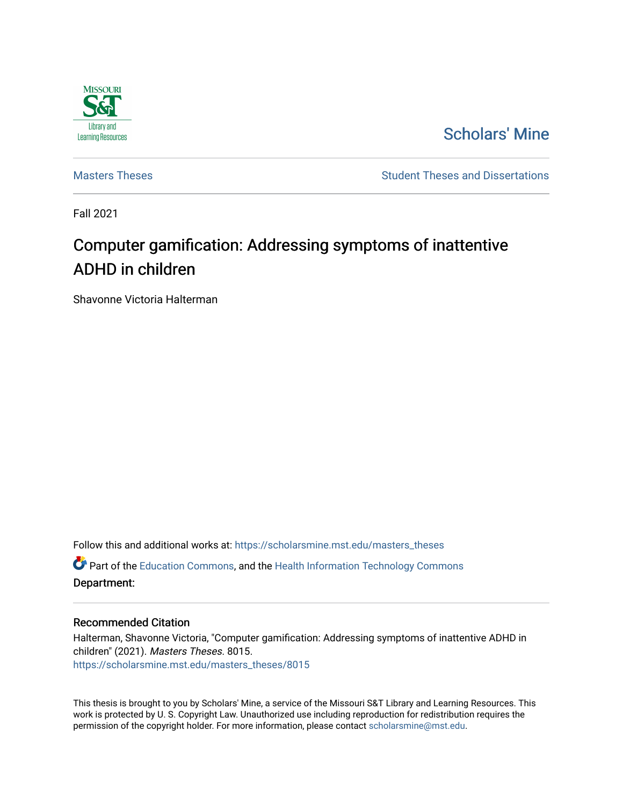

[Scholars' Mine](https://scholarsmine.mst.edu/) 

[Masters Theses](https://scholarsmine.mst.edu/masters_theses) **Student Theses and Dissertations** Student Theses and Dissertations

Fall 2021

# Computer gamification: Addressing symptoms of inattentive ADHD in children

Shavonne Victoria Halterman

Follow this and additional works at: [https://scholarsmine.mst.edu/masters\\_theses](https://scholarsmine.mst.edu/masters_theses?utm_source=scholarsmine.mst.edu%2Fmasters_theses%2F8015&utm_medium=PDF&utm_campaign=PDFCoverPages) 

**C** Part of the [Education Commons](http://network.bepress.com/hgg/discipline/784?utm_source=scholarsmine.mst.edu%2Fmasters_theses%2F8015&utm_medium=PDF&utm_campaign=PDFCoverPages), and the Health Information Technology Commons Department:

#### Recommended Citation

Halterman, Shavonne Victoria, "Computer gamification: Addressing symptoms of inattentive ADHD in children" (2021). Masters Theses. 8015. [https://scholarsmine.mst.edu/masters\\_theses/8015](https://scholarsmine.mst.edu/masters_theses/8015?utm_source=scholarsmine.mst.edu%2Fmasters_theses%2F8015&utm_medium=PDF&utm_campaign=PDFCoverPages) 

This thesis is brought to you by Scholars' Mine, a service of the Missouri S&T Library and Learning Resources. This work is protected by U. S. Copyright Law. Unauthorized use including reproduction for redistribution requires the permission of the copyright holder. For more information, please contact [scholarsmine@mst.edu](mailto:scholarsmine@mst.edu).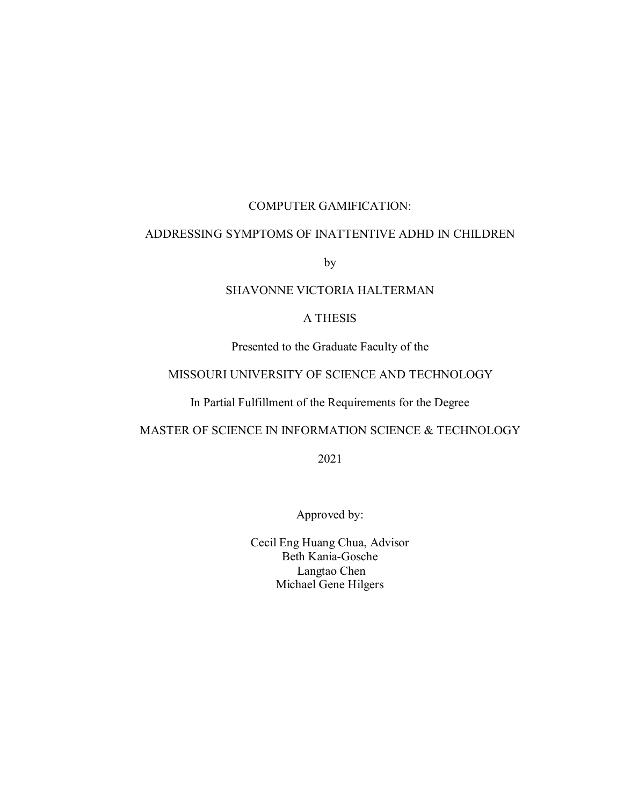## COMPUTER GAMIFICATION:

## ADDRESSING SYMPTOMS OF INATTENTIVE ADHD IN CHILDREN

by

## SHAVONNE VICTORIA HALTERMAN

## A THESIS

Presented to the Graduate Faculty of the

## MISSOURI UNIVERSITY OF SCIENCE AND TECHNOLOGY

## In Partial Fulfillment of the Requirements for the Degree

## MASTER OF SCIENCE IN INFORMATION SCIENCE & TECHNOLOGY

2021

Approved by:

Cecil Eng Huang Chua, Advisor Beth Kania-Gosche Langtao Chen Michael Gene Hilgers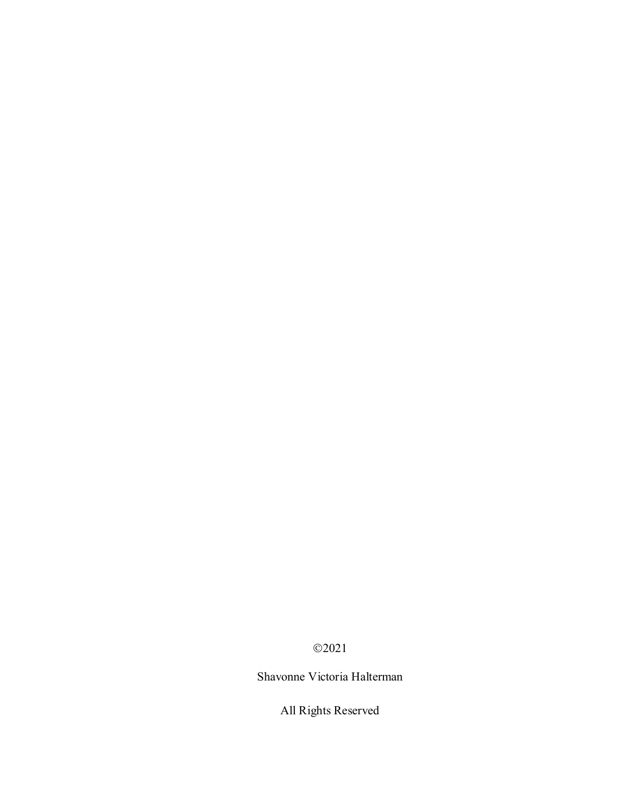2021

Shavonne Victoria Halterman

All Rights Reserved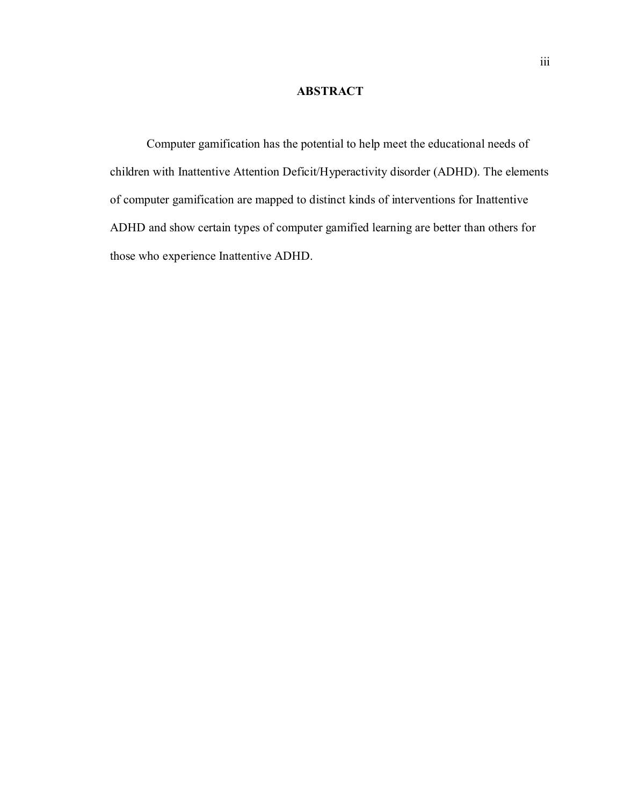## **ABSTRACT**

Computer gamification has the potential to help meet the educational needs of children with Inattentive Attention Deficit/Hyperactivity disorder (ADHD). The elements of computer gamification are mapped to distinct kinds of interventions for Inattentive ADHD and show certain types of computer gamified learning are better than others for those who experience Inattentive ADHD.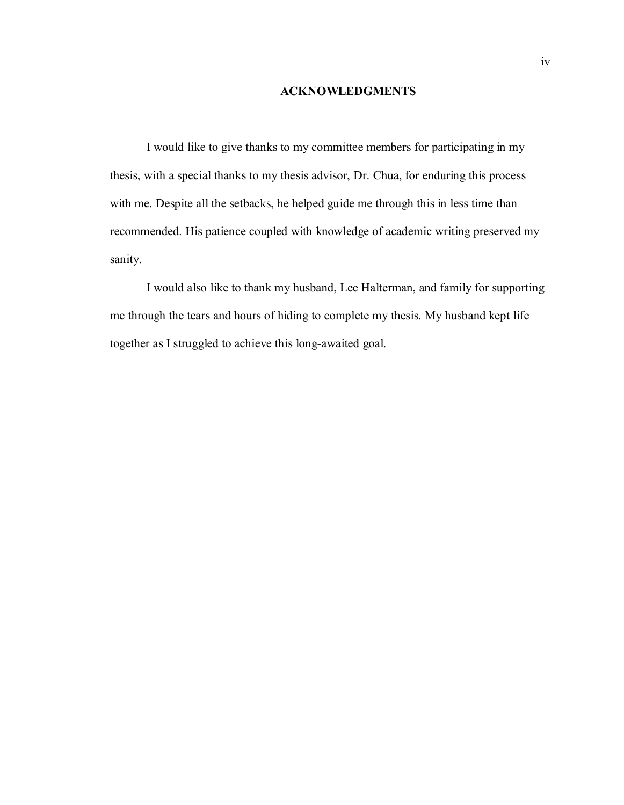#### **ACKNOWLEDGMENTS**

I would like to give thanks to my committee members for participating in my thesis, with a special thanks to my thesis advisor, Dr. Chua, for enduring this process with me. Despite all the setbacks, he helped guide me through this in less time than recommended. His patience coupled with knowledge of academic writing preserved my sanity.

I would also like to thank my husband, Lee Halterman, and family for supporting me through the tears and hours of hiding to complete my thesis. My husband kept life together as I struggled to achieve this long-awaited goal.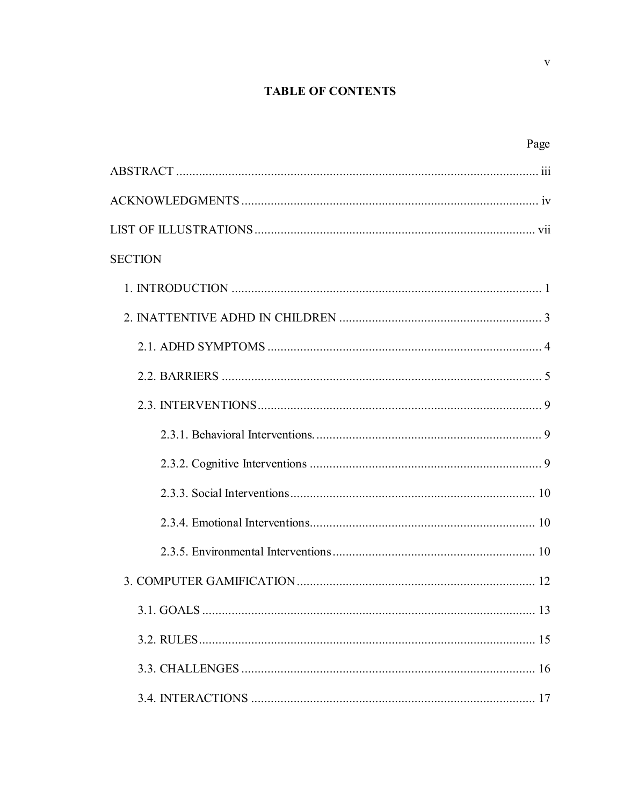# **TABLE OF CONTENTS**

| Page           |
|----------------|
|                |
|                |
|                |
| <b>SECTION</b> |
|                |
|                |
|                |
|                |
|                |
|                |
|                |
|                |
|                |
|                |
|                |
|                |
|                |
|                |
|                |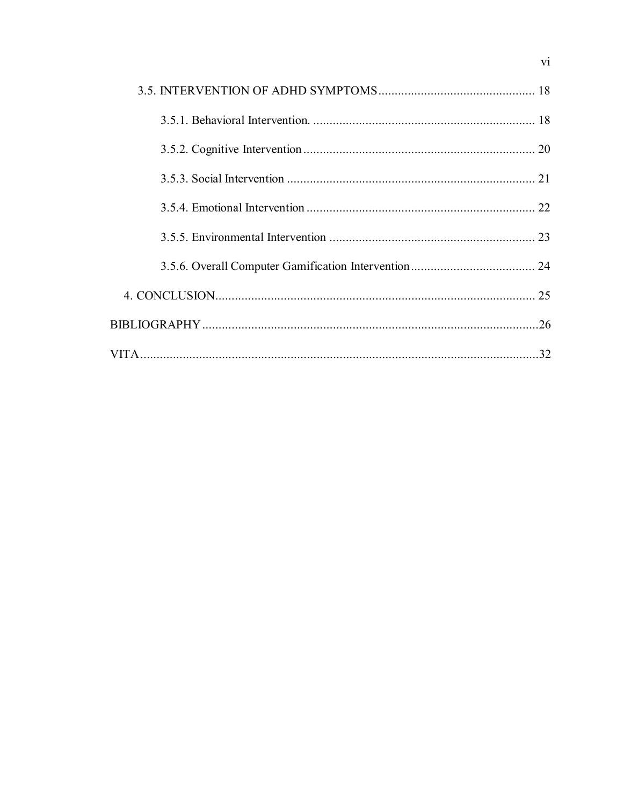$\overline{vi}$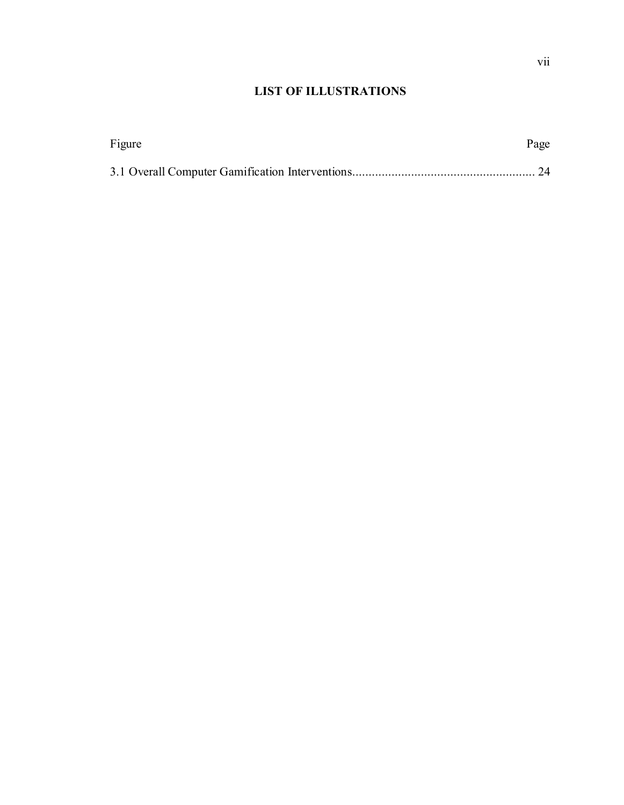## **LIST OF ILLUSTRATIONS**

| Figure | Page |
|--------|------|
|        |      |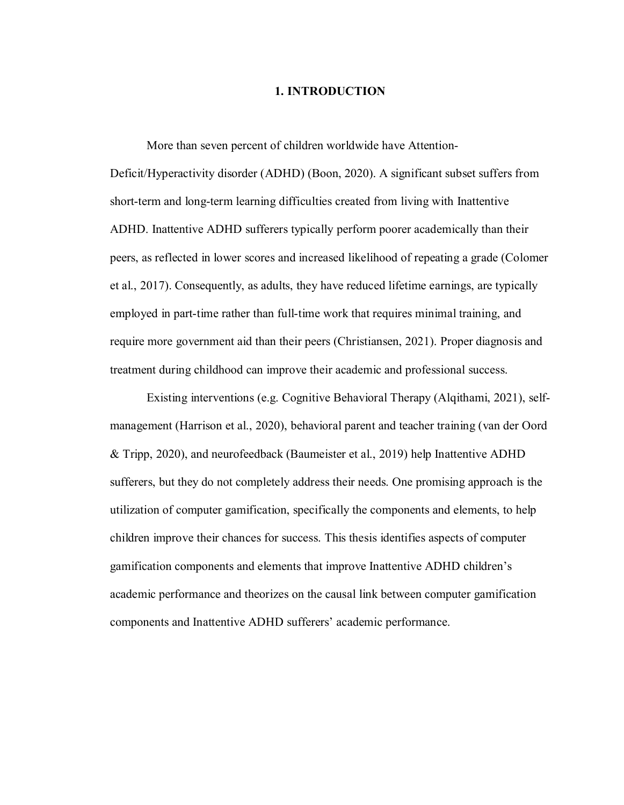### **1. INTRODUCTION**

More than seven percent of children worldwide have Attention-Deficit/Hyperactivity disorder (ADHD) (Boon, 2020). A significant subset suffers from short-term and long-term learning difficulties created from living with Inattentive ADHD. Inattentive ADHD sufferers typically perform poorer academically than their peers, as reflected in lower scores and increased likelihood of repeating a grade (Colomer et al., 2017). Consequently, as adults, they have reduced lifetime earnings, are typically employed in part-time rather than full-time work that requires minimal training, and require more government aid than their peers (Christiansen, 2021). Proper diagnosis and treatment during childhood can improve their academic and professional success.

Existing interventions (e.g. Cognitive Behavioral Therapy (Alqithami, 2021), selfmanagement (Harrison et al., 2020), behavioral parent and teacher training (van der Oord & Tripp, 2020), and neurofeedback (Baumeister et al., 2019) help Inattentive ADHD sufferers, but they do not completely address their needs. One promising approach is the utilization of computer gamification, specifically the components and elements, to help children improve their chances for success. This thesis identifies aspects of computer gamification components and elements that improve Inattentive ADHD children's academic performance and theorizes on the causal link between computer gamification components and Inattentive ADHD sufferers' academic performance.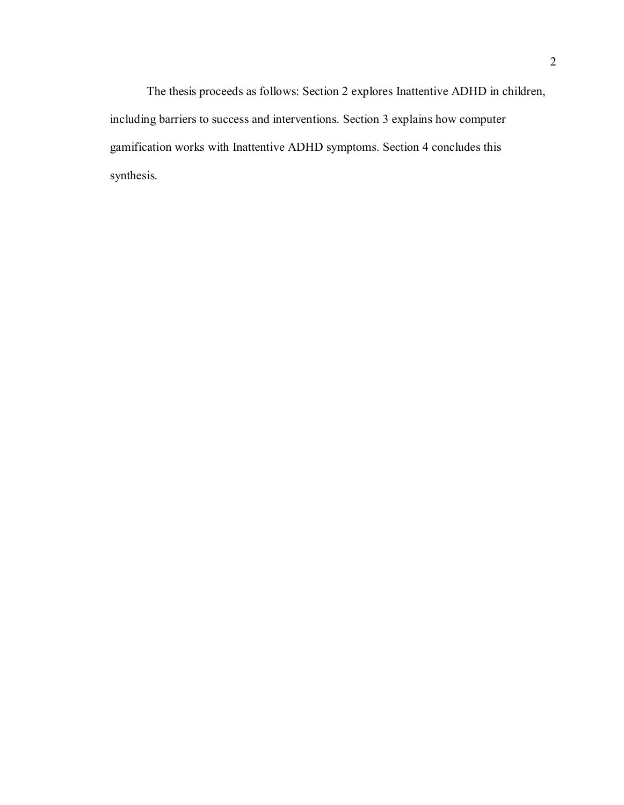The thesis proceeds as follows: Section 2 explores Inattentive ADHD in children, including barriers to success and interventions. Section 3 explains how computer gamification works with Inattentive ADHD symptoms. Section 4 concludes this synthesis.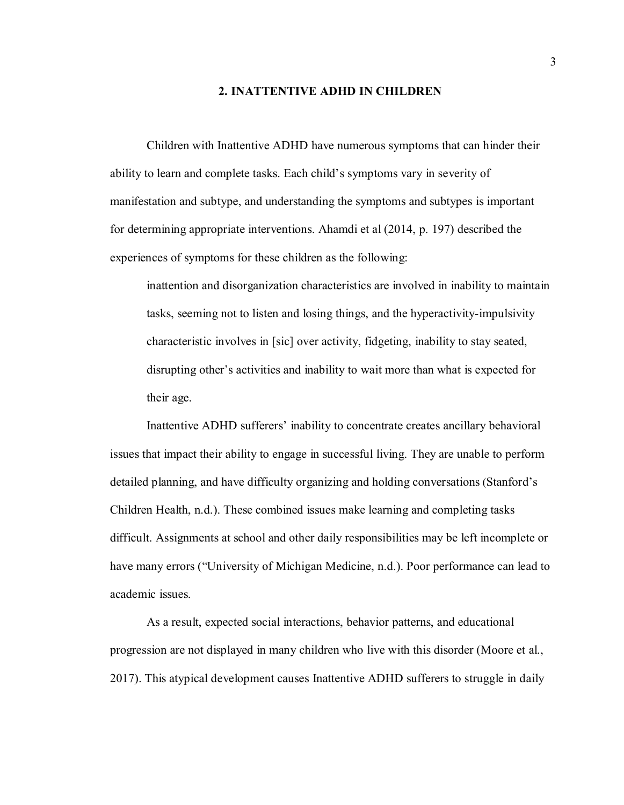#### **2. INATTENTIVE ADHD IN CHILDREN**

Children with Inattentive ADHD have numerous symptoms that can hinder their ability to learn and complete tasks. Each child's symptoms vary in severity of manifestation and subtype, and understanding the symptoms and subtypes is important for determining appropriate interventions. Ahamdi et al (2014, p. 197) described the experiences of symptoms for these children as the following:

inattention and disorganization characteristics are involved in inability to maintain tasks, seeming not to listen and losing things, and the hyperactivity-impulsivity characteristic involves in [sic] over activity, fidgeting, inability to stay seated, disrupting other's activities and inability to wait more than what is expected for their age.

Inattentive ADHD sufferers' inability to concentrate creates ancillary behavioral issues that impact their ability to engage in successful living. They are unable to perform detailed planning, and have difficulty organizing and holding conversations (Stanford's Children Health, n.d.). These combined issues make learning and completing tasks difficult. Assignments at school and other daily responsibilities may be left incomplete or have many errors ("University of Michigan Medicine, n.d.). Poor performance can lead to academic issues.

As a result, expected social interactions, behavior patterns, and educational progression are not displayed in many children who live with this disorder (Moore et al., 2017). This atypical development causes Inattentive ADHD sufferers to struggle in daily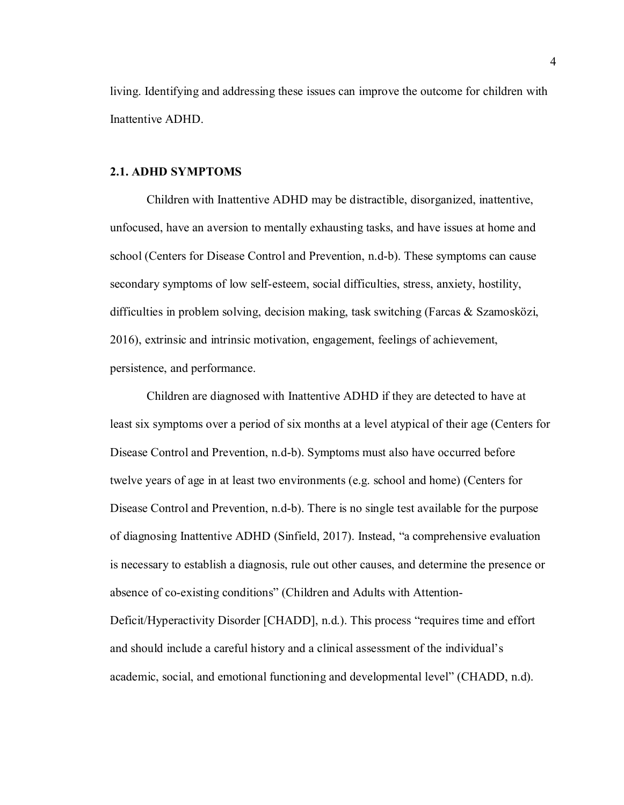living. Identifying and addressing these issues can improve the outcome for children with Inattentive ADHD.

#### **2.1. ADHD SYMPTOMS**

Children with Inattentive ADHD may be distractible, disorganized, inattentive, unfocused, have an aversion to mentally exhausting tasks, and have issues at home and school (Centers for Disease Control and Prevention, n.d-b). These symptoms can cause secondary symptoms of low self-esteem, social difficulties, stress, anxiety, hostility, difficulties in problem solving, decision making, task switching (Farcas & Szamosközi, 2016), extrinsic and intrinsic motivation, engagement, feelings of achievement, persistence, and performance.

Children are diagnosed with Inattentive ADHD if they are detected to have at least six symptoms over a period of six months at a level atypical of their age (Centers for Disease Control and Prevention, n.d-b). Symptoms must also have occurred before twelve years of age in at least two environments (e.g. school and home) (Centers for Disease Control and Prevention, n.d-b). There is no single test available for the purpose of diagnosing Inattentive ADHD (Sinfield, 2017). Instead, "a comprehensive evaluation is necessary to establish a diagnosis, rule out other causes, and determine the presence or absence of co-existing conditions" (Children and Adults with Attention-Deficit/Hyperactivity Disorder [CHADD], n.d.). This process "requires time and effort and should include a careful history and a clinical assessment of the individual's academic, social, and emotional functioning and developmental level" (CHADD, n.d).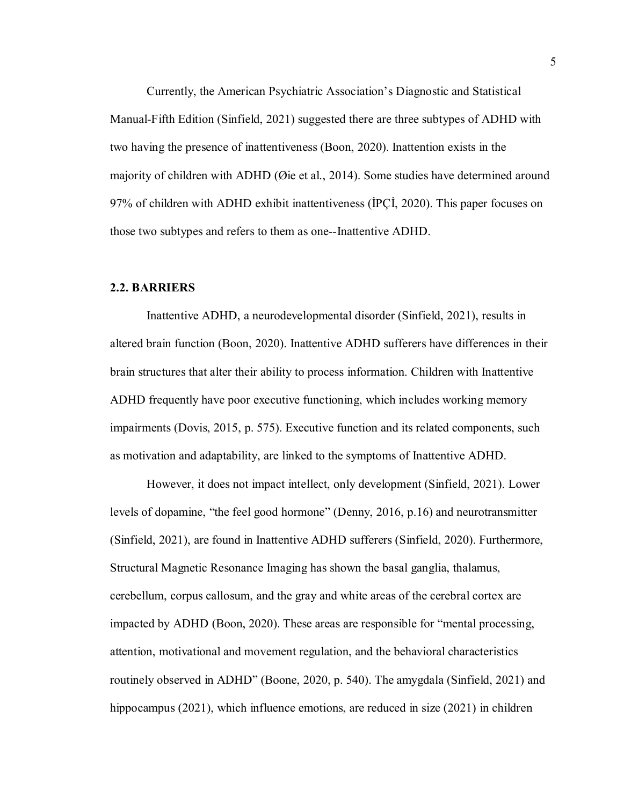Currently, the American Psychiatric Association's Diagnostic and Statistical Manual-Fifth Edition (Sinfield, 2021) suggested there are three subtypes of ADHD with two having the presence of inattentiveness (Boon, 2020). Inattention exists in the majority of children with ADHD (Øie et al., 2014). Some studies have determined around 97% of children with ADHD exhibit inattentiveness (İPÇİ, 2020). This paper focuses on those two subtypes and refers to them as one--Inattentive ADHD.

#### **2.2. BARRIERS**

Inattentive ADHD, a neurodevelopmental disorder (Sinfield, 2021), results in altered brain function (Boon, 2020). Inattentive ADHD sufferers have differences in their brain structures that alter their ability to process information. Children with Inattentive ADHD frequently have poor executive functioning, which includes working memory impairments (Dovis, 2015, p. 575). Executive function and its related components, such as motivation and adaptability, are linked to the symptoms of Inattentive ADHD.

However, it does not impact intellect, only development (Sinfield, 2021). Lower levels of dopamine, "the feel good hormone" (Denny, 2016, p.16) and neurotransmitter (Sinfield, 2021), are found in Inattentive ADHD sufferers (Sinfield, 2020). Furthermore, Structural Magnetic Resonance Imaging has shown the basal ganglia, thalamus, cerebellum, corpus callosum, and the gray and white areas of the cerebral cortex are impacted by ADHD (Boon, 2020). These areas are responsible for "mental processing, attention, motivational and movement regulation, and the behavioral characteristics routinely observed in ADHD" (Boone, 2020, p. 540). The amygdala (Sinfield, 2021) and hippocampus (2021), which influence emotions, are reduced in size (2021) in children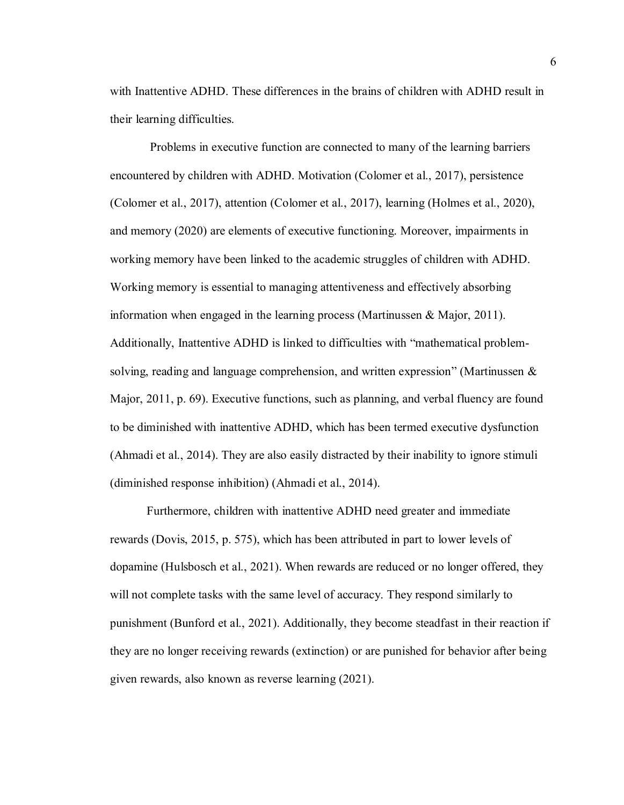with Inattentive ADHD. These differences in the brains of children with ADHD result in their learning difficulties.

Problems in executive function are connected to many of the learning barriers encountered by children with ADHD. Motivation (Colomer et al., 2017), persistence (Colomer et al., 2017), attention (Colomer et al., 2017), learning (Holmes et al., 2020), and memory (2020) are elements of executive functioning. Moreover, impairments in working memory have been linked to the academic struggles of children with ADHD. Working memory is essential to managing attentiveness and effectively absorbing information when engaged in the learning process (Martinussen & Major, 2011). Additionally, Inattentive ADHD is linked to difficulties with "mathematical problemsolving, reading and language comprehension, and written expression" (Martinussen & Major, 2011, p. 69). Executive functions, such as planning, and verbal fluency are found to be diminished with inattentive ADHD, which has been termed executive dysfunction (Ahmadi et al., 2014). They are also easily distracted by their inability to ignore stimuli (diminished response inhibition) (Ahmadi et al., 2014).

Furthermore, children with inattentive ADHD need greater and immediate rewards (Dovis, 2015, p. 575), which has been attributed in part to lower levels of dopamine (Hulsbosch et al., 2021). When rewards are reduced or no longer offered, they will not complete tasks with the same level of accuracy. They respond similarly to punishment (Bunford et al., 2021). Additionally, they become steadfast in their reaction if they are no longer receiving rewards (extinction) or are punished for behavior after being given rewards, also known as reverse learning (2021).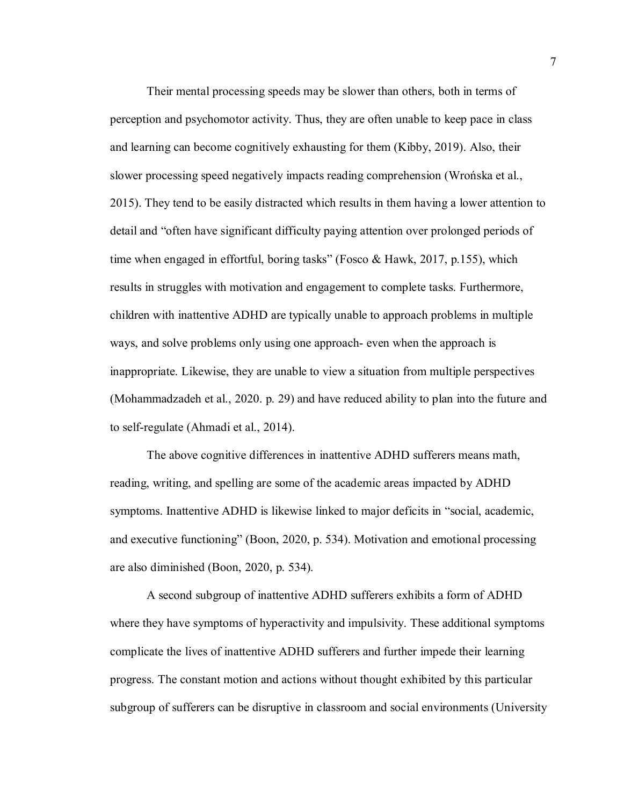Their mental processing speeds may be slower than others, both in terms of perception and psychomotor activity. Thus, they are often unable to keep pace in class and learning can become cognitively exhausting for them (Kibby, 2019). Also, their slower processing speed negatively impacts reading comprehension (Wrońska et al., 2015). They tend to be easily distracted which results in them having a lower attention to detail and "often have significant difficulty paying attention over prolonged periods of time when engaged in effortful, boring tasks" (Fosco & Hawk, 2017, p.155), which results in struggles with motivation and engagement to complete tasks. Furthermore, children with inattentive ADHD are typically unable to approach problems in multiple ways, and solve problems only using one approach- even when the approach is inappropriate. Likewise, they are unable to view a situation from multiple perspectives (Mohammadzadeh et al., 2020. p. 29) and have reduced ability to plan into the future and to self-regulate (Ahmadi et al., 2014).

The above cognitive differences in inattentive ADHD sufferers means math, reading, writing, and spelling are some of the academic areas impacted by ADHD symptoms. Inattentive ADHD is likewise linked to major deficits in "social, academic, and executive functioning" (Boon, 2020, p. 534). Motivation and emotional processing are also diminished (Boon, 2020, p. 534).

A second subgroup of inattentive ADHD sufferers exhibits a form of ADHD where they have symptoms of hyperactivity and impulsivity. These additional symptoms complicate the lives of inattentive ADHD sufferers and further impede their learning progress. The constant motion and actions without thought exhibited by this particular subgroup of sufferers can be disruptive in classroom and social environments (University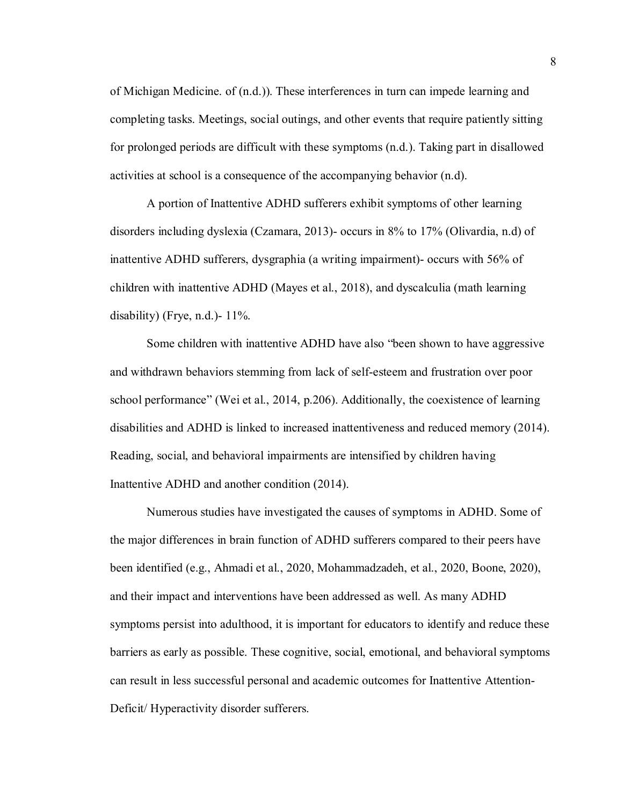of Michigan Medicine. of (n.d.)). These interferences in turn can impede learning and completing tasks. Meetings, social outings, and other events that require patiently sitting for prolonged periods are difficult with these symptoms (n.d.). Taking part in disallowed activities at school is a consequence of the accompanying behavior (n.d).

A portion of Inattentive ADHD sufferers exhibit symptoms of other learning disorders including dyslexia (Czamara, 2013)- occurs in 8% to 17% (Olivardia, n.d) of inattentive ADHD sufferers, dysgraphia (a writing impairment)- occurs with 56% of children with inattentive ADHD (Mayes et al., 2018), and dyscalculia (math learning disability) (Frye, n.d.)- 11%.

Some children with inattentive ADHD have also "been shown to have aggressive and withdrawn behaviors stemming from lack of self-esteem and frustration over poor school performance" (Wei et al., 2014, p.206). Additionally, the coexistence of learning disabilities and ADHD is linked to increased inattentiveness and reduced memory (2014). Reading, social, and behavioral impairments are intensified by children having Inattentive ADHD and another condition (2014).

Numerous studies have investigated the causes of symptoms in ADHD. Some of the major differences in brain function of ADHD sufferers compared to their peers have been identified (e.g., Ahmadi et al., 2020, Mohammadzadeh, et al., 2020, Boone, 2020), and their impact and interventions have been addressed as well. As many ADHD symptoms persist into adulthood, it is important for educators to identify and reduce these barriers as early as possible. These cognitive, social, emotional, and behavioral symptoms can result in less successful personal and academic outcomes for Inattentive Attention-Deficit/ Hyperactivity disorder sufferers.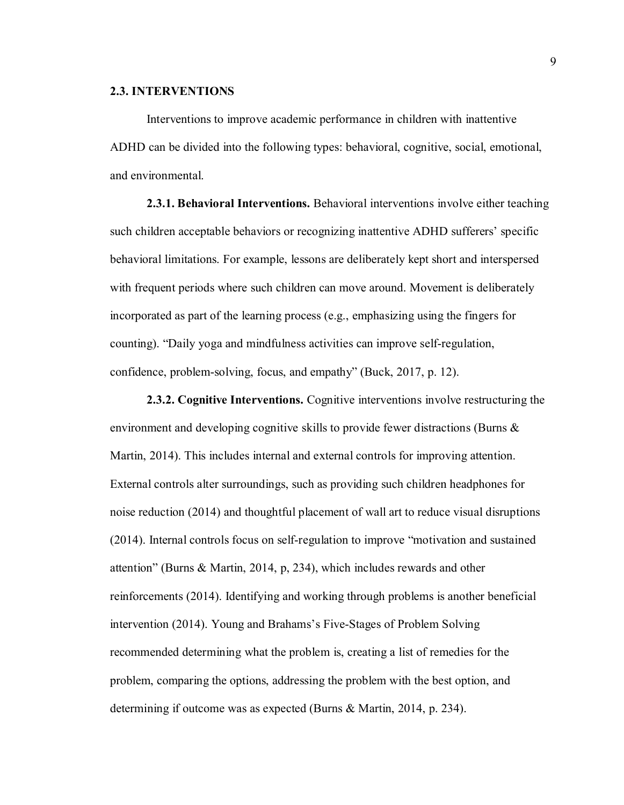#### **2.3. INTERVENTIONS**

Interventions to improve academic performance in children with inattentive ADHD can be divided into the following types: behavioral, cognitive, social, emotional, and environmental.

**2.3.1. Behavioral Interventions.** Behavioral interventions involve either teaching such children acceptable behaviors or recognizing inattentive ADHD sufferers' specific behavioral limitations. For example, lessons are deliberately kept short and interspersed with frequent periods where such children can move around. Movement is deliberately incorporated as part of the learning process (e.g., emphasizing using the fingers for counting). "Daily yoga and mindfulness activities can improve self-regulation, confidence, problem-solving, focus, and empathy" (Buck, 2017, p. 12).

**2.3.2. Cognitive Interventions.** Cognitive interventions involve restructuring the environment and developing cognitive skills to provide fewer distractions (Burns & Martin, 2014). This includes internal and external controls for improving attention. External controls alter surroundings, such as providing such children headphones for noise reduction (2014) and thoughtful placement of wall art to reduce visual disruptions (2014). Internal controls focus on self-regulation to improve "motivation and sustained attention" (Burns & Martin, 2014, p, 234), which includes rewards and other reinforcements (2014). Identifying and working through problems is another beneficial intervention (2014). Young and Brahams's Five-Stages of Problem Solving recommended determining what the problem is, creating a list of remedies for the problem, comparing the options, addressing the problem with the best option, and determining if outcome was as expected (Burns & Martin, 2014, p. 234).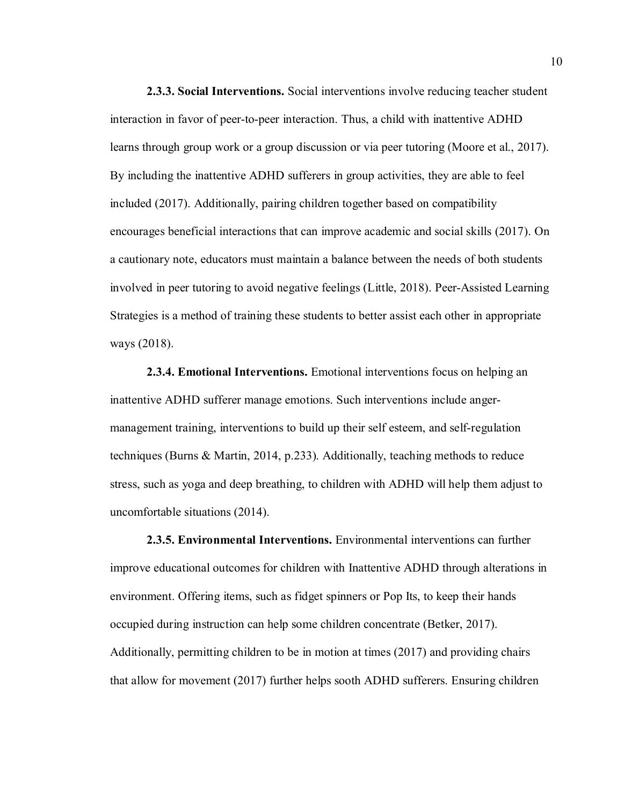**2.3.3. Social Interventions.** Social interventions involve reducing teacher student interaction in favor of peer-to-peer interaction. Thus, a child with inattentive ADHD learns through group work or a group discussion or via peer tutoring (Moore et al., 2017). By including the inattentive ADHD sufferers in group activities, they are able to feel included (2017). Additionally, pairing children together based on compatibility encourages beneficial interactions that can improve academic and social skills (2017). On a cautionary note, educators must maintain a balance between the needs of both students involved in peer tutoring to avoid negative feelings (Little, 2018). Peer-Assisted Learning Strategies is a method of training these students to better assist each other in appropriate ways (2018).

**2.3.4. Emotional Interventions.** Emotional interventions focus on helping an inattentive ADHD sufferer manage emotions. Such interventions include angermanagement training, interventions to build up their self esteem, and self-regulation techniques (Burns & Martin, 2014, p.233). Additionally, teaching methods to reduce stress, such as yoga and deep breathing, to children with ADHD will help them adjust to uncomfortable situations (2014).

**2.3.5. Environmental Interventions.** Environmental interventions can further improve educational outcomes for children with Inattentive ADHD through alterations in environment. Offering items, such as fidget spinners or Pop Its, to keep their hands occupied during instruction can help some children concentrate (Betker, 2017). Additionally, permitting children to be in motion at times (2017) and providing chairs that allow for movement (2017) further helps sooth ADHD sufferers. Ensuring children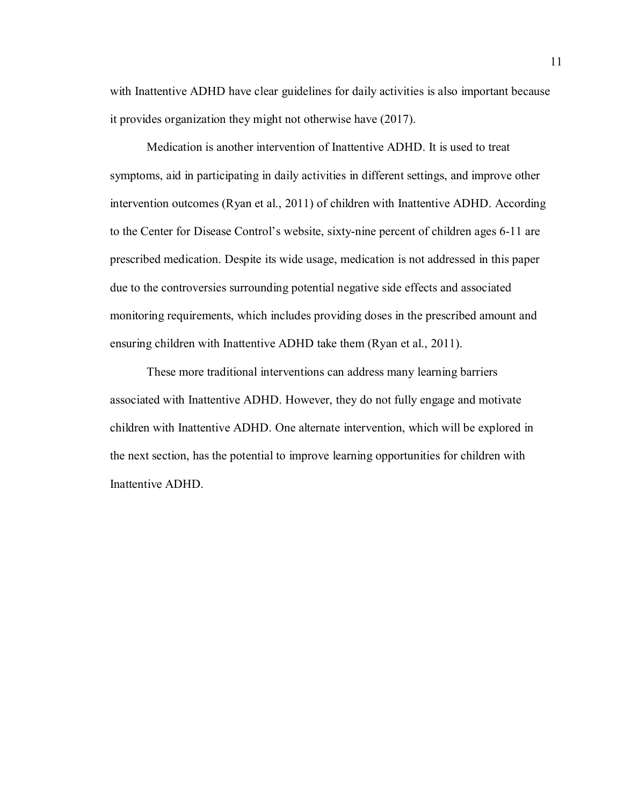with Inattentive ADHD have clear guidelines for daily activities is also important because it provides organization they might not otherwise have (2017).

Medication is another intervention of Inattentive ADHD. It is used to treat symptoms, aid in participating in daily activities in different settings, and improve other intervention outcomes (Ryan et al., 2011) of children with Inattentive ADHD. According to the Center for Disease Control's website, sixty-nine percent of children ages 6-11 are prescribed medication. Despite its wide usage, medication is not addressed in this paper due to the controversies surrounding potential negative side effects and associated monitoring requirements, which includes providing doses in the prescribed amount and ensuring children with Inattentive ADHD take them (Ryan et al., 2011).

These more traditional interventions can address many learning barriers associated with Inattentive ADHD. However, they do not fully engage and motivate children with Inattentive ADHD. One alternate intervention, which will be explored in the next section, has the potential to improve learning opportunities for children with Inattentive ADHD.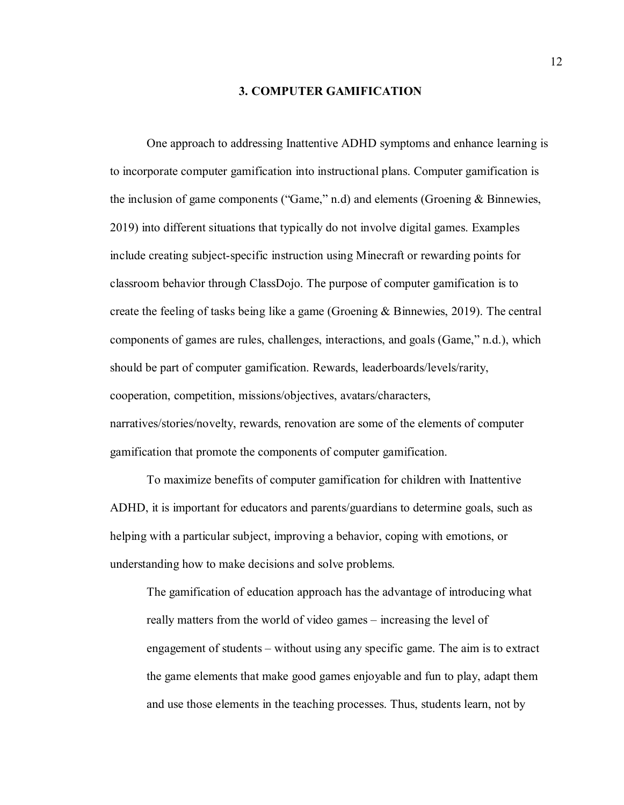#### **3. COMPUTER GAMIFICATION**

One approach to addressing Inattentive ADHD symptoms and enhance learning is to incorporate computer gamification into instructional plans. Computer gamification is the inclusion of game components ("Game," n.d) and elements (Groening & Binnewies, 2019) into different situations that typically do not involve digital games. Examples include creating subject-specific instruction using Minecraft or rewarding points for classroom behavior through ClassDojo. The purpose of computer gamification is to create the feeling of tasks being like a game (Groening & Binnewies, 2019). The central components of games are rules, challenges, interactions, and goals (Game," n.d.), which should be part of computer gamification. Rewards, leaderboards/levels/rarity, cooperation, competition, missions/objectives, avatars/characters, narratives/stories/novelty, rewards, renovation are some of the elements of computer gamification that promote the components of computer gamification.

To maximize benefits of computer gamification for children with Inattentive ADHD, it is important for educators and parents/guardians to determine goals, such as helping with a particular subject, improving a behavior, coping with emotions, or understanding how to make decisions and solve problems.

The gamification of education approach has the advantage of introducing what really matters from the world of video games – increasing the level of engagement of students – without using any specific game. The aim is to extract the game elements that make good games enjoyable and fun to play, adapt them and use those elements in the teaching processes. Thus, students learn, not by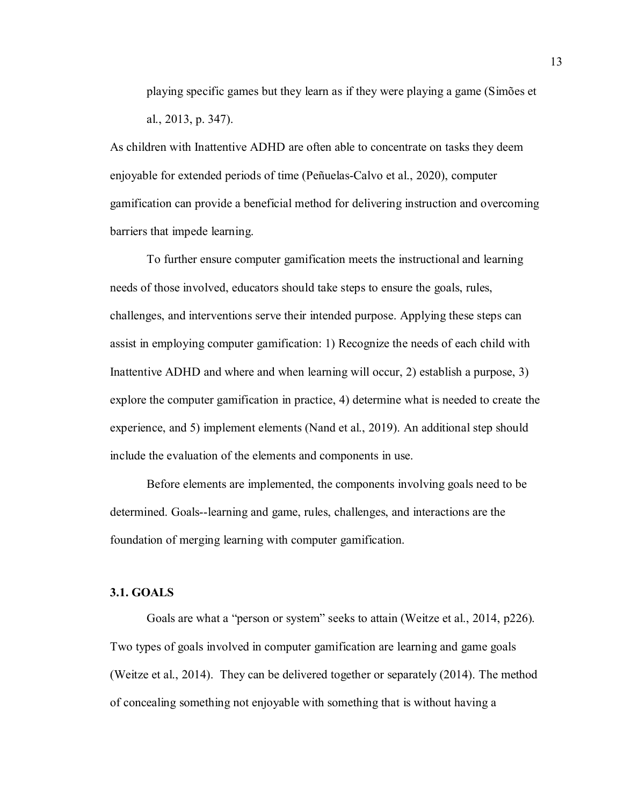playing specific games but they learn as if they were playing a game (Simões et al., 2013, p. 347).

As children with Inattentive ADHD are often able to concentrate on tasks they deem enjoyable for extended periods of time (Peñuelas‑Calvo et al., 2020), computer gamification can provide a beneficial method for delivering instruction and overcoming barriers that impede learning.

To further ensure computer gamification meets the instructional and learning needs of those involved, educators should take steps to ensure the goals, rules, challenges, and interventions serve their intended purpose. Applying these steps can assist in employing computer gamification: 1) Recognize the needs of each child with Inattentive ADHD and where and when learning will occur, 2) establish a purpose, 3) explore the computer gamification in practice, 4) determine what is needed to create the experience, and 5) implement elements (Nand et al., 2019). An additional step should include the evaluation of the elements and components in use.

Before elements are implemented, the components involving goals need to be determined. Goals--learning and game, rules, challenges, and interactions are the foundation of merging learning with computer gamification.

#### **3.1. GOALS**

Goals are what a "person or system" seeks to attain (Weitze et al., 2014, p226). Two types of goals involved in computer gamification are learning and game goals (Weitze et al., 2014). They can be delivered together or separately (2014). The method of concealing something not enjoyable with something that is without having a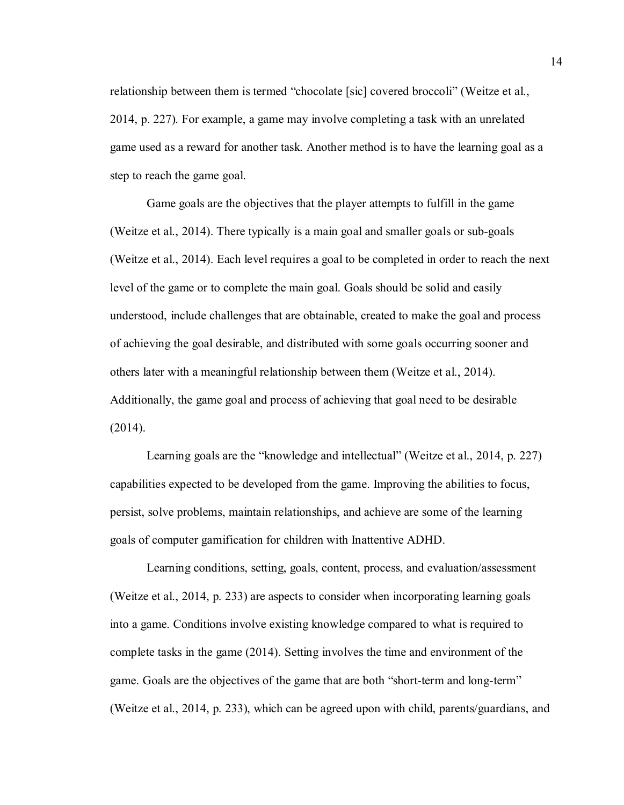relationship between them is termed "chocolate [sic] covered broccoli" (Weitze et al., 2014, p. 227). For example, a game may involve completing a task with an unrelated game used as a reward for another task. Another method is to have the learning goal as a step to reach the game goal.

Game goals are the objectives that the player attempts to fulfill in the game (Weitze et al., 2014). There typically is a main goal and smaller goals or sub-goals (Weitze et al., 2014). Each level requires a goal to be completed in order to reach the next level of the game or to complete the main goal. Goals should be solid and easily understood, include challenges that are obtainable, created to make the goal and process of achieving the goal desirable, and distributed with some goals occurring sooner and others later with a meaningful relationship between them (Weitze et al., 2014). Additionally, the game goal and process of achieving that goal need to be desirable (2014).

Learning goals are the "knowledge and intellectual" (Weitze et al., 2014, p. 227) capabilities expected to be developed from the game. Improving the abilities to focus, persist, solve problems, maintain relationships, and achieve are some of the learning goals of computer gamification for children with Inattentive ADHD.

Learning conditions, setting, goals, content, process, and evaluation/assessment (Weitze et al., 2014, p. 233) are aspects to consider when incorporating learning goals into a game. Conditions involve existing knowledge compared to what is required to complete tasks in the game (2014). Setting involves the time and environment of the game. Goals are the objectives of the game that are both "short-term and long-term" (Weitze et al., 2014, p. 233), which can be agreed upon with child, parents/guardians, and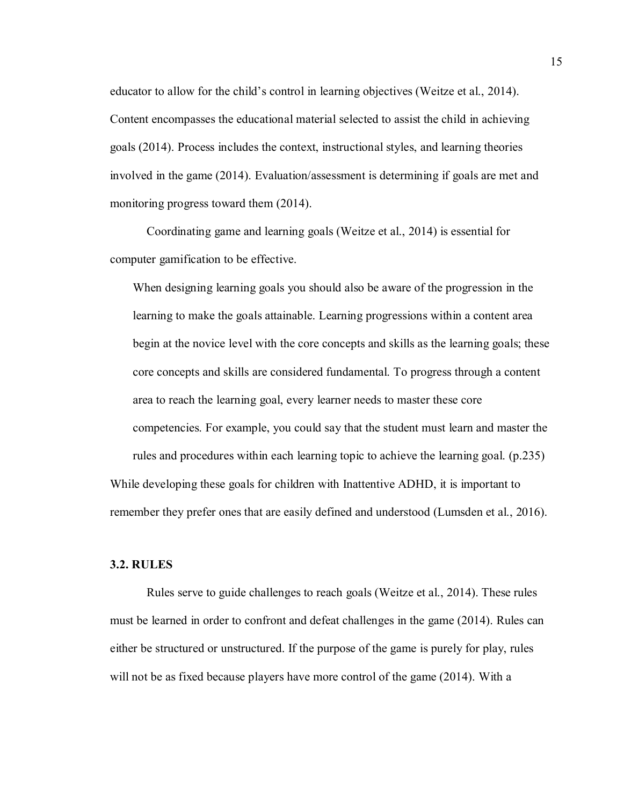educator to allow for the child's control in learning objectives (Weitze et al., 2014). Content encompasses the educational material selected to assist the child in achieving goals (2014). Process includes the context, instructional styles, and learning theories involved in the game (2014). Evaluation/assessment is determining if goals are met and monitoring progress toward them (2014).

Coordinating game and learning goals (Weitze et al., 2014) is essential for computer gamification to be effective.

When designing learning goals you should also be aware of the progression in the learning to make the goals attainable. Learning progressions within a content area begin at the novice level with the core concepts and skills as the learning goals; these core concepts and skills are considered fundamental. To progress through a content area to reach the learning goal, every learner needs to master these core competencies. For example, you could say that the student must learn and master the rules and procedures within each learning topic to achieve the learning goal. (p.235) While developing these goals for children with Inattentive ADHD, it is important to

remember they prefer ones that are easily defined and understood (Lumsden et al., 2016).

#### **3.2. RULES**

Rules serve to guide challenges to reach goals (Weitze et al., 2014). These rules must be learned in order to confront and defeat challenges in the game (2014). Rules can either be structured or unstructured. If the purpose of the game is purely for play, rules will not be as fixed because players have more control of the game (2014). With a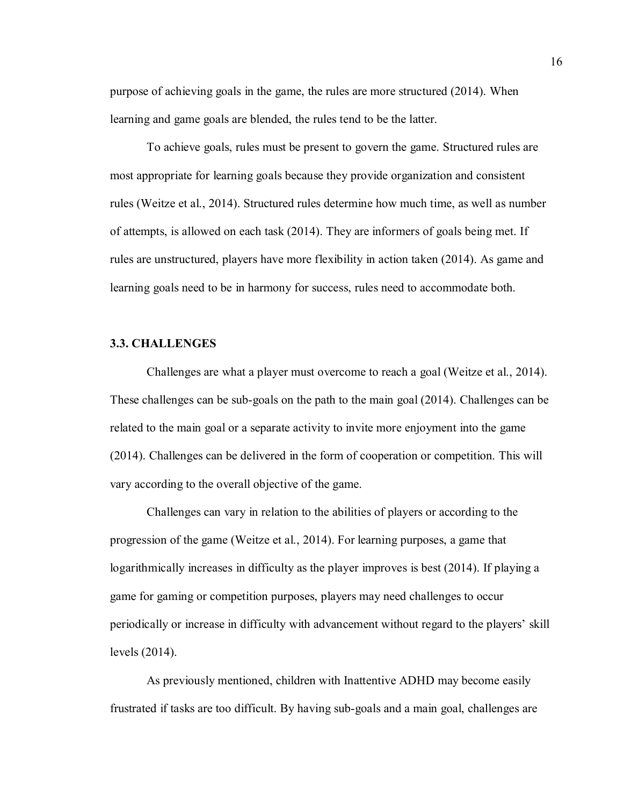purpose of achieving goals in the game, the rules are more structured (2014). When learning and game goals are blended, the rules tend to be the latter.

To achieve goals, rules must be present to govern the game. Structured rules are most appropriate for learning goals because they provide organization and consistent rules (Weitze et al., 2014). Structured rules determine how much time, as well as number of attempts, is allowed on each task (2014). They are informers of goals being met. If rules are unstructured, players have more flexibility in action taken (2014). As game and learning goals need to be in harmony for success, rules need to accommodate both.

#### **3.3. CHALLENGES**

Challenges are what a player must overcome to reach a goal (Weitze et al., 2014). These challenges can be sub-goals on the path to the main goal (2014). Challenges can be related to the main goal or a separate activity to invite more enjoyment into the game (2014). Challenges can be delivered in the form of cooperation or competition. This will vary according to the overall objective of the game.

Challenges can vary in relation to the abilities of players or according to the progression of the game (Weitze et al., 2014). For learning purposes, a game that logarithmically increases in difficulty as the player improves is best (2014). If playing a game for gaming or competition purposes, players may need challenges to occur periodically or increase in difficulty with advancement without regard to the players' skill levels (2014).

As previously mentioned, children with Inattentive ADHD may become easily frustrated if tasks are too difficult. By having sub-goals and a main goal, challenges are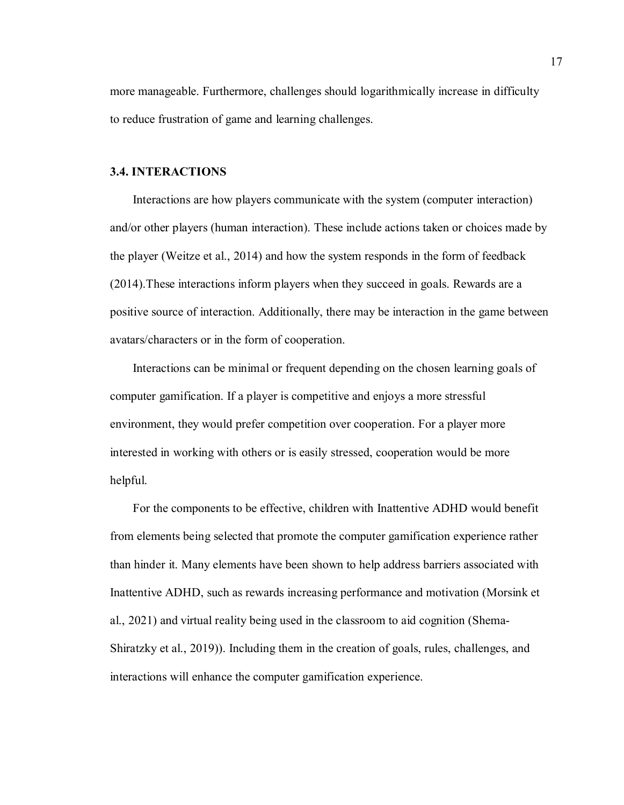more manageable. Furthermore, challenges should logarithmically increase in difficulty to reduce frustration of game and learning challenges.

#### **3.4. INTERACTIONS**

Interactions are how players communicate with the system (computer interaction) and/or other players (human interaction). These include actions taken or choices made by the player (Weitze et al., 2014) and how the system responds in the form of feedback (2014).These interactions inform players when they succeed in goals. Rewards are a positive source of interaction. Additionally, there may be interaction in the game between avatars/characters or in the form of cooperation.

Interactions can be minimal or frequent depending on the chosen learning goals of computer gamification. If a player is competitive and enjoys a more stressful environment, they would prefer competition over cooperation. For a player more interested in working with others or is easily stressed, cooperation would be more helpful.

For the components to be effective, children with Inattentive ADHD would benefit from elements being selected that promote the computer gamification experience rather than hinder it. Many elements have been shown to help address barriers associated with Inattentive ADHD, such as rewards increasing performance and motivation (Morsink et al., 2021) and virtual reality being used in the classroom to aid cognition (Shema-Shiratzky et al., 2019)). Including them in the creation of goals, rules, challenges, and interactions will enhance the computer gamification experience.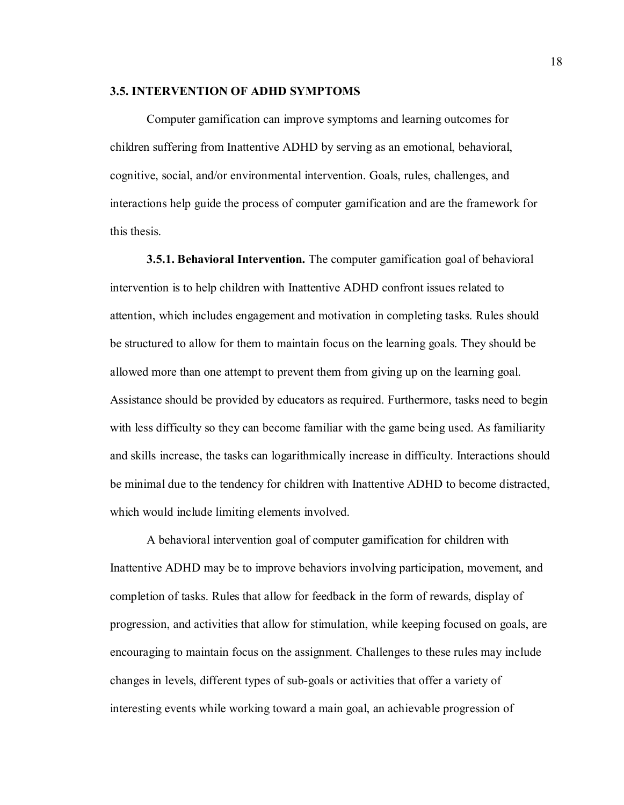#### **3.5. INTERVENTION OF ADHD SYMPTOMS**

Computer gamification can improve symptoms and learning outcomes for children suffering from Inattentive ADHD by serving as an emotional, behavioral, cognitive, social, and/or environmental intervention. Goals, rules, challenges, and interactions help guide the process of computer gamification and are the framework for this thesis.

**3.5.1. Behavioral Intervention.** The computer gamification goal of behavioral intervention is to help children with Inattentive ADHD confront issues related to attention, which includes engagement and motivation in completing tasks. Rules should be structured to allow for them to maintain focus on the learning goals. They should be allowed more than one attempt to prevent them from giving up on the learning goal. Assistance should be provided by educators as required. Furthermore, tasks need to begin with less difficulty so they can become familiar with the game being used. As familiarity and skills increase, the tasks can logarithmically increase in difficulty. Interactions should be minimal due to the tendency for children with Inattentive ADHD to become distracted, which would include limiting elements involved.

A behavioral intervention goal of computer gamification for children with Inattentive ADHD may be to improve behaviors involving participation, movement, and completion of tasks. Rules that allow for feedback in the form of rewards, display of progression, and activities that allow for stimulation, while keeping focused on goals, are encouraging to maintain focus on the assignment. Challenges to these rules may include changes in levels, different types of sub-goals or activities that offer a variety of interesting events while working toward a main goal, an achievable progression of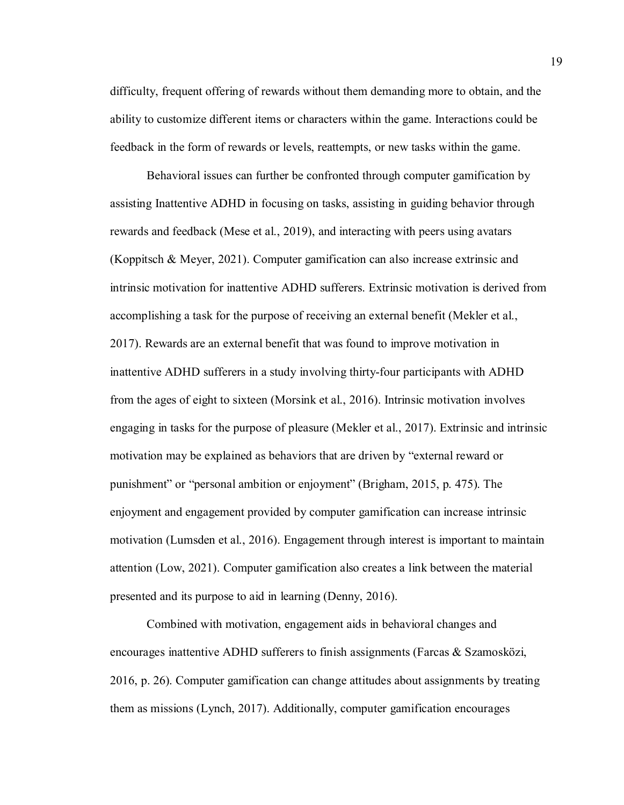difficulty, frequent offering of rewards without them demanding more to obtain, and the ability to customize different items or characters within the game. Interactions could be feedback in the form of rewards or levels, reattempts, or new tasks within the game.

Behavioral issues can further be confronted through computer gamification by assisting Inattentive ADHD in focusing on tasks, assisting in guiding behavior through rewards and feedback (Mese et al., 2019), and interacting with peers using avatars (Koppitsch & Meyer, 2021). Computer gamification can also increase extrinsic and intrinsic motivation for inattentive ADHD sufferers. Extrinsic motivation is derived from accomplishing a task for the purpose of receiving an external benefit (Mekler et al., 2017). Rewards are an external benefit that was found to improve motivation in inattentive ADHD sufferers in a study involving thirty-four participants with ADHD from the ages of eight to sixteen (Morsink et al., 2016). Intrinsic motivation involves engaging in tasks for the purpose of pleasure (Mekler et al., 2017). Extrinsic and intrinsic motivation may be explained as behaviors that are driven by "external reward or punishment" or "personal ambition or enjoyment" (Brigham, 2015, p. 475). The enjoyment and engagement provided by computer gamification can increase intrinsic motivation (Lumsden et al., 2016). Engagement through interest is important to maintain attention (Low, 2021). Computer gamification also creates a link between the material presented and its purpose to aid in learning (Denny, 2016).

Combined with motivation, engagement aids in behavioral changes and encourages inattentive ADHD sufferers to finish assignments (Farcas & Szamosközi, 2016, p. 26). Computer gamification can change attitudes about assignments by treating them as missions (Lynch, 2017). Additionally, computer gamification encourages

19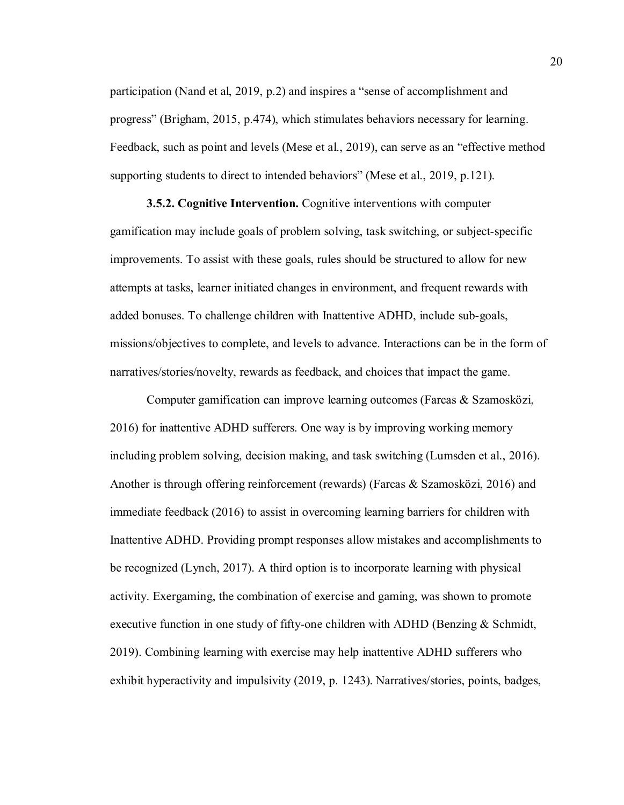participation (Nand et al, 2019, p.2) and inspires a "sense of accomplishment and progress" (Brigham, 2015, p.474), which stimulates behaviors necessary for learning. Feedback, such as point and levels (Mese et al., 2019), can serve as an "effective method supporting students to direct to intended behaviors" (Mese et al., 2019, p.121).

**3.5.2. Cognitive Intervention.** Cognitive interventions with computer gamification may include goals of problem solving, task switching, or subject-specific improvements. To assist with these goals, rules should be structured to allow for new attempts at tasks, learner initiated changes in environment, and frequent rewards with added bonuses. To challenge children with Inattentive ADHD, include sub-goals, missions/objectives to complete, and levels to advance. Interactions can be in the form of narratives/stories/novelty, rewards as feedback, and choices that impact the game.

Computer gamification can improve learning outcomes (Farcas & Szamosközi, 2016) for inattentive ADHD sufferers. One way is by improving working memory including problem solving, decision making, and task switching (Lumsden et al., 2016). Another is through offering reinforcement (rewards) (Farcas & Szamosközi, 2016) and immediate feedback (2016) to assist in overcoming learning barriers for children with Inattentive ADHD. Providing prompt responses allow mistakes and accomplishments to be recognized (Lynch, 2017). A third option is to incorporate learning with physical activity. Exergaming, the combination of exercise and gaming, was shown to promote executive function in one study of fifty-one children with ADHD (Benzing & Schmidt, 2019). Combining learning with exercise may help inattentive ADHD sufferers who exhibit hyperactivity and impulsivity (2019, p. 1243). Narratives/stories, points, badges,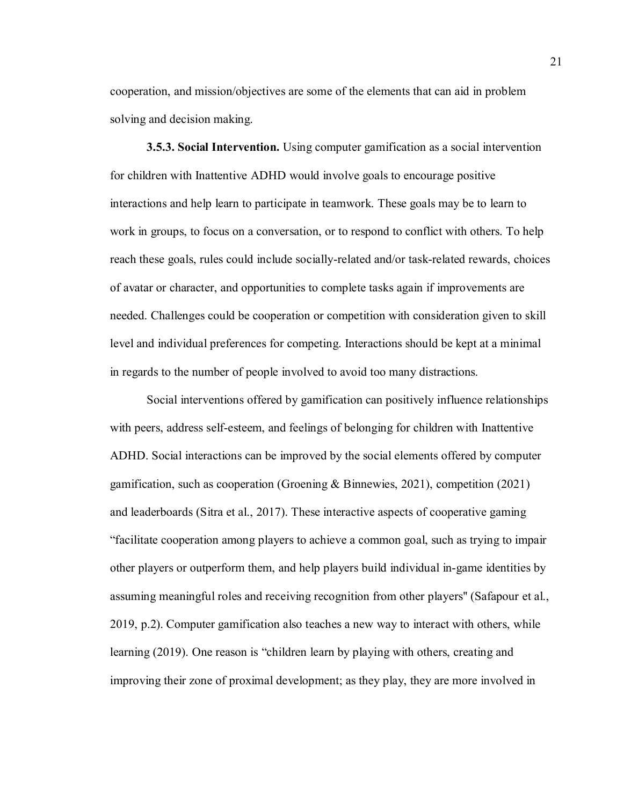cooperation, and mission/objectives are some of the elements that can aid in problem solving and decision making.

**3.5.3. Social Intervention.** Using computer gamification as a social intervention for children with Inattentive ADHD would involve goals to encourage positive interactions and help learn to participate in teamwork. These goals may be to learn to work in groups, to focus on a conversation, or to respond to conflict with others. To help reach these goals, rules could include socially-related and/or task-related rewards, choices of avatar or character, and opportunities to complete tasks again if improvements are needed. Challenges could be cooperation or competition with consideration given to skill level and individual preferences for competing. Interactions should be kept at a minimal in regards to the number of people involved to avoid too many distractions.

Social interventions offered by gamification can positively influence relationships with peers, address self-esteem, and feelings of belonging for children with Inattentive ADHD. Social interactions can be improved by the social elements offered by computer gamification, such as cooperation (Groening & Binnewies, 2021), competition (2021) and leaderboards (Sitra et al., 2017). These interactive aspects of cooperative gaming "facilitate cooperation among players to achieve a common goal, such as trying to impair other players or outperform them, and help players build individual in-game identities by assuming meaningful roles and receiving recognition from other players'' (Safapour et al., 2019, p.2). Computer gamification also teaches a new way to interact with others, while learning (2019). One reason is "children learn by playing with others, creating and improving their zone of proximal development; as they play, they are more involved in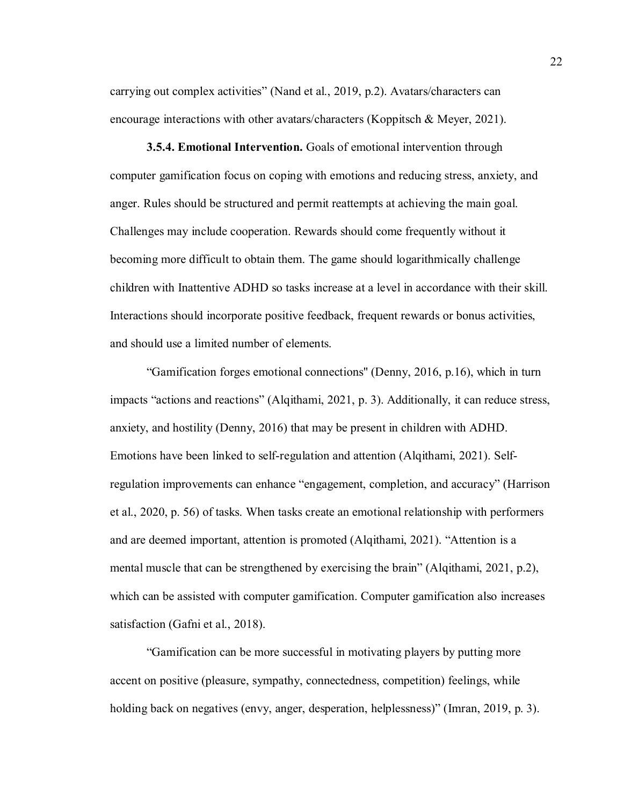carrying out complex activities" (Nand et al., 2019, p.2). Avatars/characters can encourage interactions with other avatars/characters (Koppitsch & Meyer, 2021).

**3.5.4. Emotional Intervention.** Goals of emotional intervention through computer gamification focus on coping with emotions and reducing stress, anxiety, and anger. Rules should be structured and permit reattempts at achieving the main goal. Challenges may include cooperation. Rewards should come frequently without it becoming more difficult to obtain them. The game should logarithmically challenge children with Inattentive ADHD so tasks increase at a level in accordance with their skill. Interactions should incorporate positive feedback, frequent rewards or bonus activities, and should use a limited number of elements.

"Gamification forges emotional connections'' (Denny, 2016, p.16), which in turn impacts "actions and reactions" (Alqithami, 2021, p. 3). Additionally, it can reduce stress, anxiety, and hostility (Denny, 2016) that may be present in children with ADHD. Emotions have been linked to self-regulation and attention (Alqithami, 2021). Selfregulation improvements can enhance "engagement, completion, and accuracy" (Harrison et al., 2020, p. 56) of tasks. When tasks create an emotional relationship with performers and are deemed important, attention is promoted (Alqithami, 2021). "Attention is a mental muscle that can be strengthened by exercising the brain" (Alqithami, 2021, p.2), which can be assisted with computer gamification. Computer gamification also increases satisfaction (Gafni et al., 2018).

"Gamification can be more successful in motivating players by putting more accent on positive (pleasure, sympathy, connectedness, competition) feelings, while holding back on negatives (envy, anger, desperation, helplessness)" (Imran, 2019, p. 3).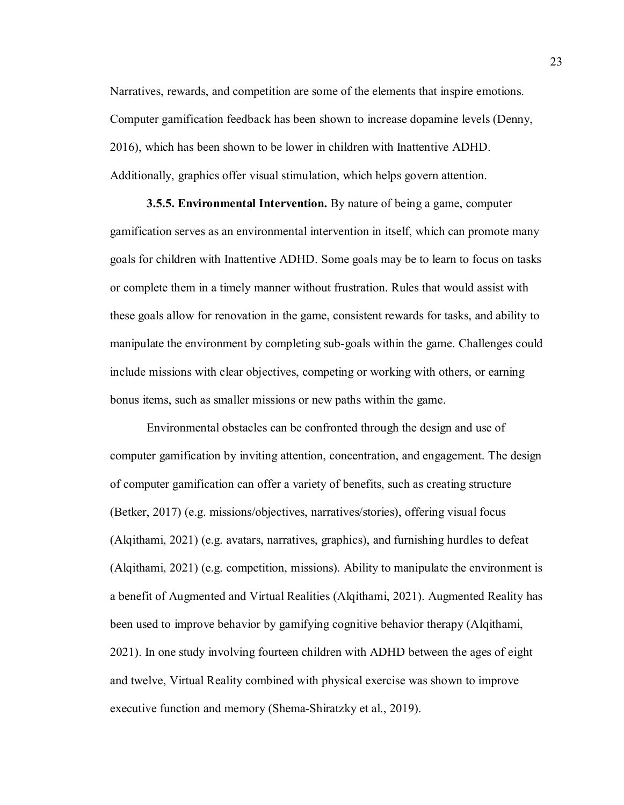Narratives, rewards, and competition are some of the elements that inspire emotions. Computer gamification feedback has been shown to increase dopamine levels (Denny, 2016), which has been shown to be lower in children with Inattentive ADHD. Additionally, graphics offer visual stimulation, which helps govern attention.

**3.5.5. Environmental Intervention.** By nature of being a game, computer gamification serves as an environmental intervention in itself, which can promote many goals for children with Inattentive ADHD. Some goals may be to learn to focus on tasks or complete them in a timely manner without frustration. Rules that would assist with these goals allow for renovation in the game, consistent rewards for tasks, and ability to manipulate the environment by completing sub-goals within the game. Challenges could include missions with clear objectives, competing or working with others, or earning bonus items, such as smaller missions or new paths within the game.

Environmental obstacles can be confronted through the design and use of computer gamification by inviting attention, concentration, and engagement. The design of computer gamification can offer a variety of benefits, such as creating structure (Betker, 2017) (e.g. missions/objectives, narratives/stories), offering visual focus (Alqithami, 2021) (e.g. avatars, narratives, graphics), and furnishing hurdles to defeat (Alqithami, 2021) (e.g. competition, missions). Ability to manipulate the environment is a benefit of Augmented and Virtual Realities (Alqithami, 2021). Augmented Reality has been used to improve behavior by gamifying cognitive behavior therapy (Alqithami, 2021). In one study involving fourteen children with ADHD between the ages of eight and twelve, Virtual Reality combined with physical exercise was shown to improve executive function and memory (Shema-Shiratzky et al., 2019).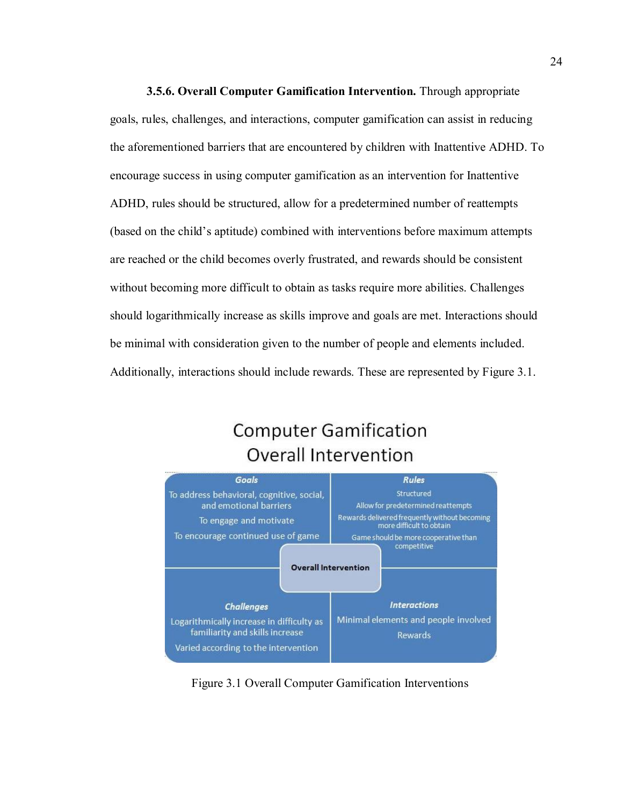**3.5.6. Overall Computer Gamification Intervention.** Through appropriate goals, rules, challenges, and interactions, computer gamification can assist in reducing the aforementioned barriers that are encountered by children with Inattentive ADHD. To encourage success in using computer gamification as an intervention for Inattentive ADHD, rules should be structured, allow for a predetermined number of reattempts (based on the child's aptitude) combined with interventions before maximum attempts are reached or the child becomes overly frustrated, and rewards should be consistent without becoming more difficult to obtain as tasks require more abilities. Challenges should logarithmically increase as skills improve and goals are met. Interactions should be minimal with consideration given to the number of people and elements included. Additionally, interactions should include rewards. These are represented by Figure 3.1.

# **Computer Gamification Overall Intervention**



Figure 3.1 Overall Computer Gamification Interventions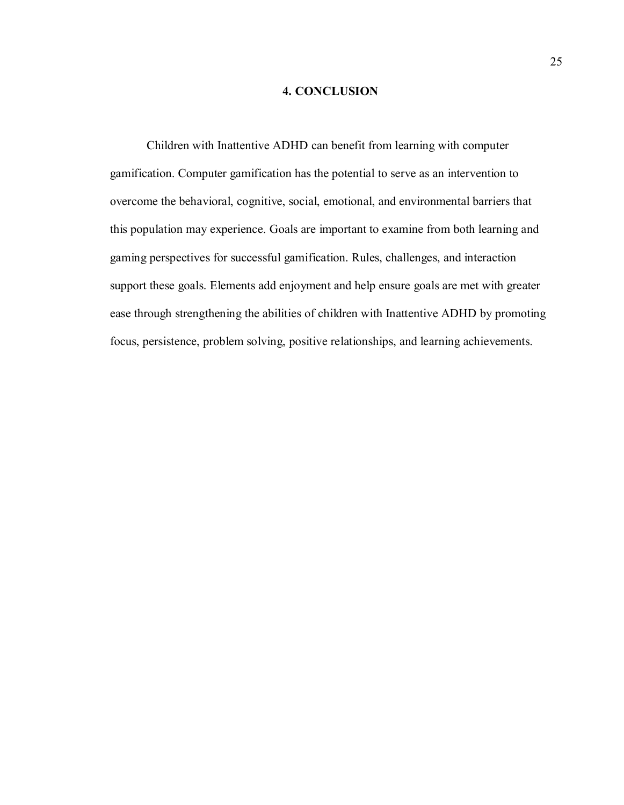## **4. CONCLUSION**

Children with Inattentive ADHD can benefit from learning with computer gamification. Computer gamification has the potential to serve as an intervention to overcome the behavioral, cognitive, social, emotional, and environmental barriers that this population may experience. Goals are important to examine from both learning and gaming perspectives for successful gamification. Rules, challenges, and interaction support these goals. Elements add enjoyment and help ensure goals are met with greater ease through strengthening the abilities of children with Inattentive ADHD by promoting focus, persistence, problem solving, positive relationships, and learning achievements.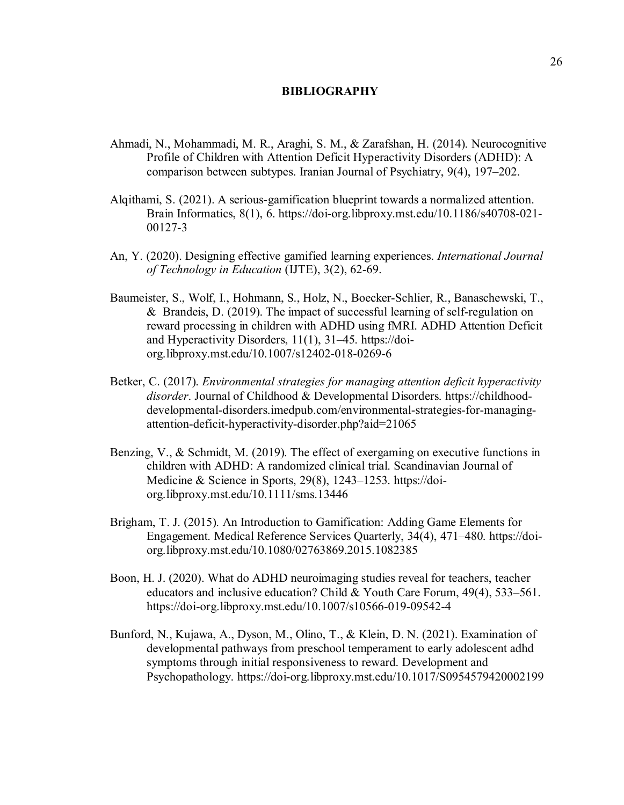#### **BIBLIOGRAPHY**

- Ahmadi, N., Mohammadi, M. R., Araghi, S. M., & Zarafshan, H. (2014). Neurocognitive Profile of Children with Attention Deficit Hyperactivity Disorders (ADHD): A comparison between subtypes. Iranian Journal of Psychiatry, 9(4), 197–202.
- Alqithami, S. (2021). A serious-gamification blueprint towards a normalized attention. Brain Informatics, 8(1), 6. https://doi-org.libproxy.mst.edu/10.1186/s40708-021- 00127-3
- An, Y. (2020). Designing effective gamified learning experiences. *International Journal of Technology in Education* (IJTE), 3(2), 62-69.
- Baumeister, S., Wolf, I., Hohmann, S., Holz, N., Boecker-Schlier, R., Banaschewski, T., & Brandeis, D. (2019). The impact of successful learning of self-regulation on reward processing in children with ADHD using fMRI. ADHD Attention Deficit and Hyperactivity Disorders, 11(1), 31–45. https://doiorg.libproxy.mst.edu/10.1007/s12402-018-0269-6
- Betker, C. (2017). *Environmental strategies for managing attention deficit hyperactivity disorder*. Journal of Childhood & Developmental Disorders. https://childhooddevelopmental-disorders.imedpub.com/environmental-strategies-for-managingattention-deficit-hyperactivity-disorder.php?aid=21065
- Benzing, V., & Schmidt, M. (2019). The effect of exergaming on executive functions in children with ADHD: A randomized clinical trial. Scandinavian Journal of Medicine & Science in Sports, 29(8), 1243–1253. https://doiorg.libproxy.mst.edu/10.1111/sms.13446
- Brigham, T. J. (2015). An Introduction to Gamification: Adding Game Elements for Engagement. Medical Reference Services Quarterly, 34(4), 471–480. https://doiorg.libproxy.mst.edu/10.1080/02763869.2015.1082385
- Boon, H. J. (2020). What do ADHD neuroimaging studies reveal for teachers, teacher educators and inclusive education? Child & Youth Care Forum, 49(4), 533–561. https://doi-org.libproxy.mst.edu/10.1007/s10566-019-09542-4
- Bunford, N., Kujawa, A., Dyson, M., Olino, T., & Klein, D. N. (2021). Examination of developmental pathways from preschool temperament to early adolescent adhd symptoms through initial responsiveness to reward. Development and Psychopathology. https://doi-org.libproxy.mst.edu/10.1017/S0954579420002199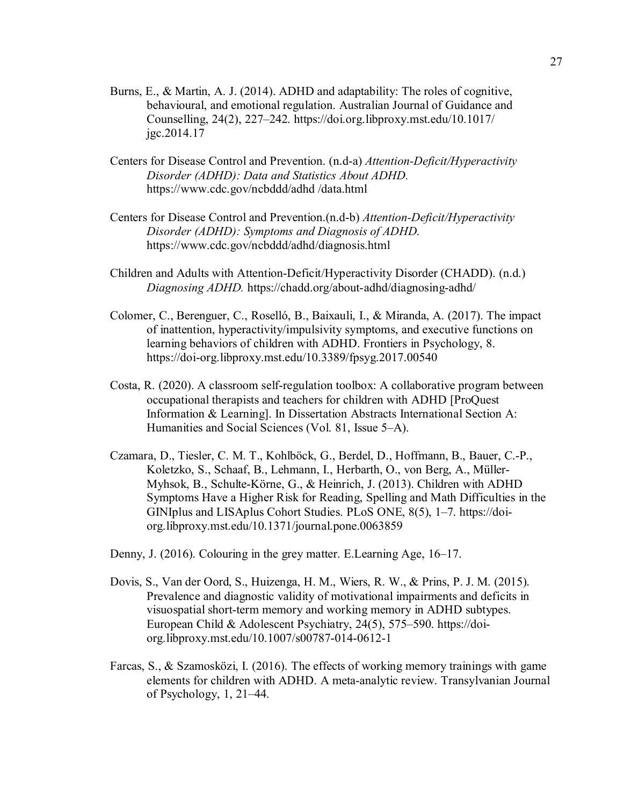- Burns, E., & Martin, A. J. (2014). ADHD and adaptability: The roles of cognitive, behavioural, and emotional regulation. Australian Journal of Guidance and Counselling, 24(2), 227–242. https://doi.org.libproxy.mst.edu/10.1017/ jgc.2014.17
- Centers for Disease Control and Prevention. (n.d-a) *Attention-Deficit/Hyperactivity Disorder (ADHD): Data and Statistics About ADHD.* https://www.cdc.gov/ncbddd/adhd /data.html
- Centers for Disease Control and Prevention.(n.d-b) *Attention-Deficit/Hyperactivity Disorder (ADHD): Symptoms and Diagnosis of ADHD*. https://www.cdc.gov/ncbddd/adhd/diagnosis.html
- Children and Adults with Attention-Deficit/Hyperactivity Disorder (CHADD). (n.d.) *Diagnosing ADHD.* https://chadd.org/about-adhd/diagnosing-adhd/
- Colomer, C., Berenguer, C., Roselló, B., Baixauli, I., & Miranda, A. (2017). The impact of inattention, hyperactivity/impulsivity symptoms, and executive functions on learning behaviors of children with ADHD. Frontiers in Psychology, 8. https://doi-org.libproxy.mst.edu/10.3389/fpsyg.2017.00540
- Costa, R. (2020). A classroom self-regulation toolbox: A collaborative program between occupational therapists and teachers for children with ADHD [ProQuest Information & Learning]. In Dissertation Abstracts International Section A: Humanities and Social Sciences (Vol. 81, Issue 5–A).
- Czamara, D., Tiesler, C. M. T., Kohlböck, G., Berdel, D., Hoffmann, B., Bauer, C.-P., Koletzko, S., Schaaf, B., Lehmann, I., Herbarth, O., von Berg, A., Müller-Myhsok, B., Schulte-Körne, G., & Heinrich, J. (2013). Children with ADHD Symptoms Have a Higher Risk for Reading, Spelling and Math Difficulties in the GINIplus and LISAplus Cohort Studies. PLoS ONE, 8(5), 1–7. https://doiorg.libproxy.mst.edu/10.1371/journal.pone.0063859
- Denny, J. (2016). Colouring in the grey matter. E.Learning Age, 16–17.
- Dovis, S., Van der Oord, S., Huizenga, H. M., Wiers, R. W., & Prins, P. J. M. (2015). Prevalence and diagnostic validity of motivational impairments and deficits in visuospatial short-term memory and working memory in ADHD subtypes. European Child & Adolescent Psychiatry, 24(5), 575–590. https://doiorg.libproxy.mst.edu/10.1007/s00787-014-0612-1
- Farcas, S., & Szamosközi, I. (2016). The effects of working memory trainings with game elements for children with ADHD. A meta-analytic review. Transylvanian Journal of Psychology, 1, 21–44.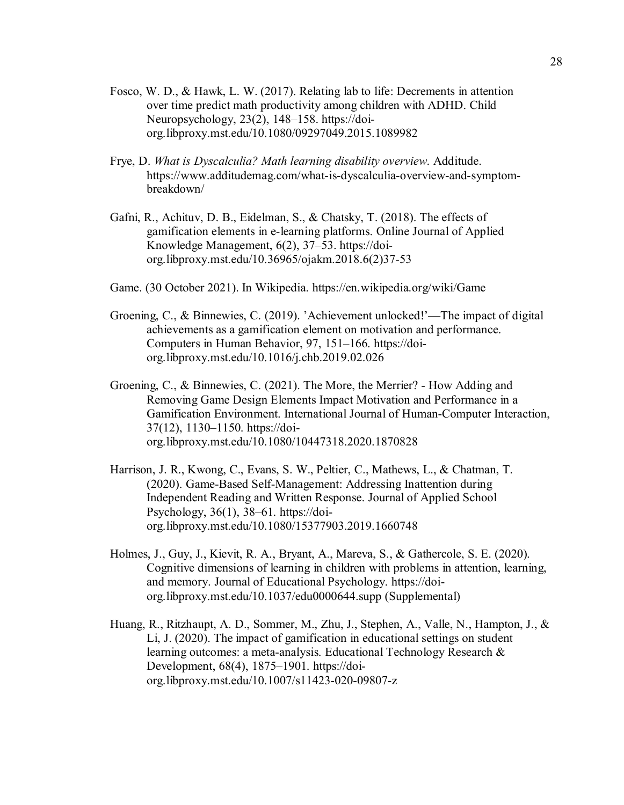- Fosco, W. D., & Hawk, L. W. (2017). Relating lab to life: Decrements in attention over time predict math productivity among children with ADHD. Child Neuropsychology, 23(2), 148–158. https://doiorg.libproxy.mst.edu/10.1080/09297049.2015.1089982
- Frye, D. *What is Dyscalculia? Math learning disability overview*. Additude. https://www.additudemag.com/what-is-dyscalculia-overview-and-symptombreakdown/
- Gafni, R., Achituv, D. B., Eidelman, S., & Chatsky, T. (2018). The effects of gamification elements in e-learning platforms. Online Journal of Applied Knowledge Management, 6(2), 37–53. https://doiorg.libproxy.mst.edu/10.36965/ojakm.2018.6(2)37-53
- Game. (30 October 2021). In Wikipedia. https://en.wikipedia.org/wiki/Game
- Groening, C., & Binnewies, C. (2019). 'Achievement unlocked!'—The impact of digital achievements as a gamification element on motivation and performance. Computers in Human Behavior, 97, 151–166. https://doiorg.libproxy.mst.edu/10.1016/j.chb.2019.02.026
- Groening, C., & Binnewies, C. (2021). The More, the Merrier? How Adding and Removing Game Design Elements Impact Motivation and Performance in a Gamification Environment. International Journal of Human-Computer Interaction, 37(12), 1130–1150. https://doiorg.libproxy.mst.edu/10.1080/10447318.2020.1870828
- Harrison, J. R., Kwong, C., Evans, S. W., Peltier, C., Mathews, L., & Chatman, T. (2020). Game-Based Self-Management: Addressing Inattention during Independent Reading and Written Response. Journal of Applied School Psychology, 36(1), 38–61. https://doiorg.libproxy.mst.edu/10.1080/15377903.2019.1660748
- Holmes, J., Guy, J., Kievit, R. A., Bryant, A., Mareva, S., & Gathercole, S. E. (2020). Cognitive dimensions of learning in children with problems in attention, learning, and memory. Journal of Educational Psychology. https://doiorg.libproxy.mst.edu/10.1037/edu0000644.supp (Supplemental)
- Huang, R., Ritzhaupt, A. D., Sommer, M., Zhu, J., Stephen, A., Valle, N., Hampton, J., & Li, J. (2020). The impact of gamification in educational settings on student learning outcomes: a meta-analysis. Educational Technology Research & Development, 68(4), 1875–1901. https://doiorg.libproxy.mst.edu/10.1007/s11423-020-09807-z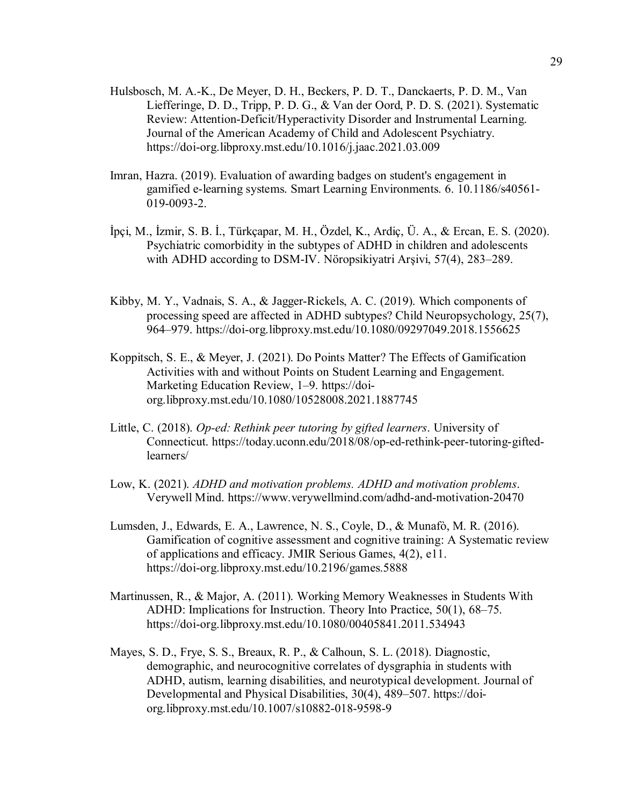- Hulsbosch, M. A.-K., De Meyer, D. H., Beckers, P. D. T., Danckaerts, P. D. M., Van Liefferinge, D. D., Tripp, P. D. G., & Van der Oord, P. D. S. (2021). Systematic Review: Attention-Deficit/Hyperactivity Disorder and Instrumental Learning. Journal of the American Academy of Child and Adolescent Psychiatry. https://doi-org.libproxy.mst.edu/10.1016/j.jaac.2021.03.009
- Imran, Hazra. (2019). Evaluation of awarding badges on student's engagement in gamified e-learning systems. Smart Learning Environments. 6. 10.1186/s40561- 019-0093-2.
- İpçi, M., İzmir, S. B. İ., Türkçapar, M. H., Özdel, K., Ardiç, Ü. A., & Ercan, E. S. (2020). Psychiatric comorbidity in the subtypes of ADHD in children and adolescents with ADHD according to DSM-IV. Nöropsikiyatri Arşivi, 57(4), 283–289.
- Kibby, M. Y., Vadnais, S. A., & Jagger-Rickels, A. C. (2019). Which components of processing speed are affected in ADHD subtypes? Child Neuropsychology, 25(7), 964–979. https://doi-org.libproxy.mst.edu/10.1080/09297049.2018.1556625
- Koppitsch, S. E., & Meyer, J. (2021). Do Points Matter? The Effects of Gamification Activities with and without Points on Student Learning and Engagement. Marketing Education Review, 1–9. https://doiorg.libproxy.mst.edu/10.1080/10528008.2021.1887745
- Little, C. (2018). *Op-ed: Rethink peer tutoring by gifted learners*. University of Connecticut. https://today.uconn.edu/2018/08/op-ed-rethink-peer-tutoring-giftedlearners/
- Low, K. (2021). *ADHD and motivation problems. ADHD and motivation problems*. Verywell Mind. https://www.verywellmind.com/adhd-and-motivation-20470
- Lumsden, J., Edwards, E. A., Lawrence, N. S., Coyle, D., & Munafò, M. R. (2016). Gamification of cognitive assessment and cognitive training: A Systematic review of applications and efficacy. JMIR Serious Games, 4(2), e11. https://doi-org.libproxy.mst.edu/10.2196/games.5888
- Martinussen, R., & Major, A. (2011). Working Memory Weaknesses in Students With ADHD: Implications for Instruction. Theory Into Practice, 50(1), 68–75. https://doi-org.libproxy.mst.edu/10.1080/00405841.2011.534943
- Mayes, S. D., Frye, S. S., Breaux, R. P., & Calhoun, S. L. (2018). Diagnostic, demographic, and neurocognitive correlates of dysgraphia in students with ADHD, autism, learning disabilities, and neurotypical development. Journal of Developmental and Physical Disabilities, 30(4), 489–507. https://doiorg.libproxy.mst.edu/10.1007/s10882-018-9598-9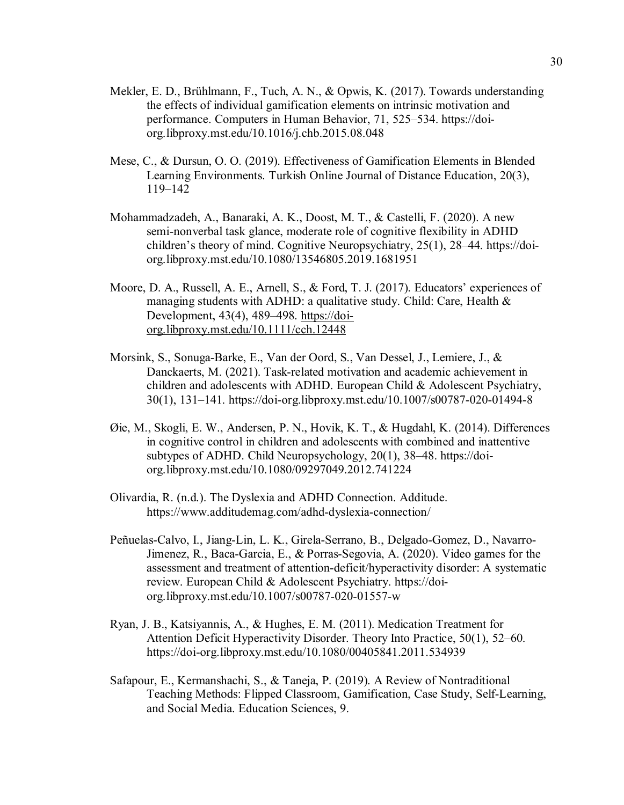- Mekler, E. D., Brühlmann, F., Tuch, A. N., & Opwis, K. (2017). Towards understanding the effects of individual gamification elements on intrinsic motivation and performance. Computers in Human Behavior, 71, 525–534. https://doiorg.libproxy.mst.edu/10.1016/j.chb.2015.08.048
- Mese, C., & Dursun, O. O. (2019). Effectiveness of Gamification Elements in Blended Learning Environments. Turkish Online Journal of Distance Education, 20(3), 119–142
- Mohammadzadeh, A., Banaraki, A. K., Doost, M. T., & Castelli, F. (2020). A new semi-nonverbal task glance, moderate role of cognitive flexibility in ADHD children's theory of mind. Cognitive Neuropsychiatry, 25(1), 28–44. https://doiorg.libproxy.mst.edu/10.1080/13546805.2019.1681951
- Moore, D. A., Russell, A. E., Arnell, S., & Ford, T. J. (2017). Educators' experiences of managing students with ADHD: a qualitative study. Child: Care, Health & Development, 43(4), 489–498. https://doiorg.libproxy.mst.edu/10.1111/cch.12448
- Morsink, S., Sonuga-Barke, E., Van der Oord, S., Van Dessel, J., Lemiere, J., & Danckaerts, M. (2021). Task-related motivation and academic achievement in children and adolescents with ADHD. European Child & Adolescent Psychiatry, 30(1), 131–141. https://doi-org.libproxy.mst.edu/10.1007/s00787-020-01494-8
- Øie, M., Skogli, E. W., Andersen, P. N., Hovik, K. T., & Hugdahl, K. (2014). Differences in cognitive control in children and adolescents with combined and inattentive subtypes of ADHD. Child Neuropsychology, 20(1), 38–48. https://doiorg.libproxy.mst.edu/10.1080/09297049.2012.741224
- Olivardia, R. (n.d.). The Dyslexia and ADHD Connection. Additude. https://www.additudemag.com/adhd-dyslexia-connection/
- Peñuelas-Calvo, I., Jiang-Lin, L. K., Girela-Serrano, B., Delgado-Gomez, D., Navarro-Jimenez, R., Baca-Garcia, E., & Porras-Segovia, A. (2020). Video games for the assessment and treatment of attention-deficit/hyperactivity disorder: A systematic review. European Child & Adolescent Psychiatry. https://doiorg.libproxy.mst.edu/10.1007/s00787-020-01557-w
- Ryan, J. B., Katsiyannis, A., & Hughes, E. M. (2011). Medication Treatment for Attention Deficit Hyperactivity Disorder. Theory Into Practice, 50(1), 52–60. https://doi-org.libproxy.mst.edu/10.1080/00405841.2011.534939
- Safapour, E., Kermanshachi, S., & Taneja, P. (2019). A Review of Nontraditional Teaching Methods: Flipped Classroom, Gamification, Case Study, Self-Learning, and Social Media. Education Sciences, 9.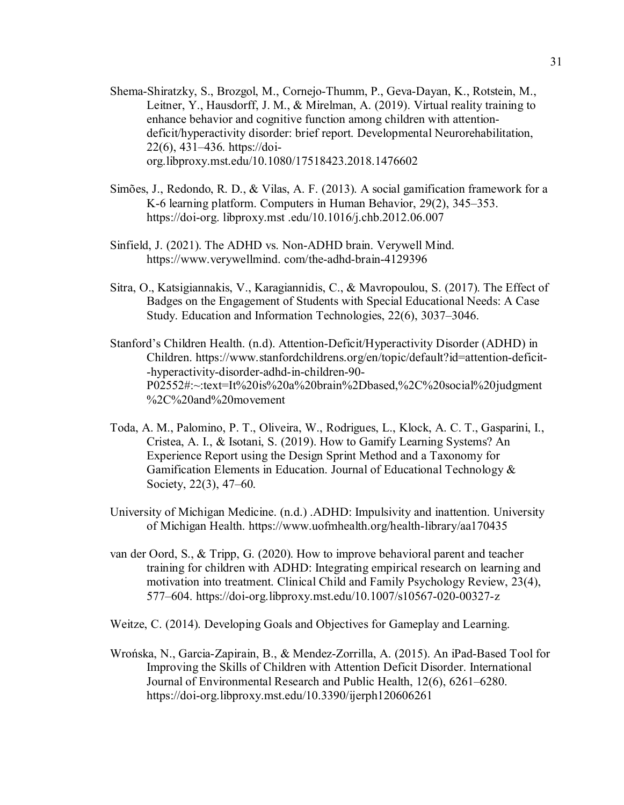Shema-Shiratzky, S., Brozgol, M., Cornejo-Thumm, P., Geva-Dayan, K., Rotstein, M., Leitner, Y., Hausdorff, J. M., & Mirelman, A. (2019). Virtual reality training to enhance behavior and cognitive function among children with attentiondeficit/hyperactivity disorder: brief report. Developmental Neurorehabilitation, 22(6), 431–436. https://doiorg.libproxy.mst.edu/10.1080/17518423.2018.1476602

- Simões, J., Redondo, R. D., & Vilas, A. F. (2013). A social gamification framework for a K-6 learning platform. Computers in Human Behavior, 29(2), 345–353. https://doi-org. libproxy.mst .edu/10.1016/j.chb.2012.06.007
- Sinfield, J. (2021). The ADHD vs. Non-ADHD brain. Verywell Mind. https://www.verywellmind. com/the-adhd-brain-4129396
- Sitra, O., Katsigiannakis, V., Karagiannidis, C., & Mavropoulou, S. (2017). The Effect of Badges on the Engagement of Students with Special Educational Needs: A Case Study. Education and Information Technologies, 22(6), 3037–3046.
- Stanford's Children Health. (n.d). Attention-Deficit/Hyperactivity Disorder (ADHD) in Children. https://www.stanfordchildrens.org/en/topic/default?id=attention-deficit- -hyperactivity-disorder-adhd-in-children-90- P02552#:~:text=It%20is%20a%20brain%2Dbased,%2C%20social%20judgment %2C%20and%20movement
- Toda, A. M., Palomino, P. T., Oliveira, W., Rodrigues, L., Klock, A. C. T., Gasparini, I., Cristea, A. I., & Isotani, S. (2019). How to Gamify Learning Systems? An Experience Report using the Design Sprint Method and a Taxonomy for Gamification Elements in Education. Journal of Educational Technology & Society, 22(3), 47–60.
- University of Michigan Medicine. (n.d.) .ADHD: Impulsivity and inattention. University of Michigan Health. https://www.uofmhealth.org/health-library/aa170435
- van der Oord, S., & Tripp, G. (2020). How to improve behavioral parent and teacher training for children with ADHD: Integrating empirical research on learning and motivation into treatment. Clinical Child and Family Psychology Review, 23(4), 577–604. https://doi-org.libproxy.mst.edu/10.1007/s10567-020-00327-z

Weitze, C. (2014). Developing Goals and Objectives for Gameplay and Learning.

Wrońska, N., Garcia-Zapirain, B., & Mendez-Zorrilla, A. (2015). An iPad-Based Tool for Improving the Skills of Children with Attention Deficit Disorder. International Journal of Environmental Research and Public Health, 12(6), 6261–6280. https://doi-org.libproxy.mst.edu/10.3390/ijerph120606261